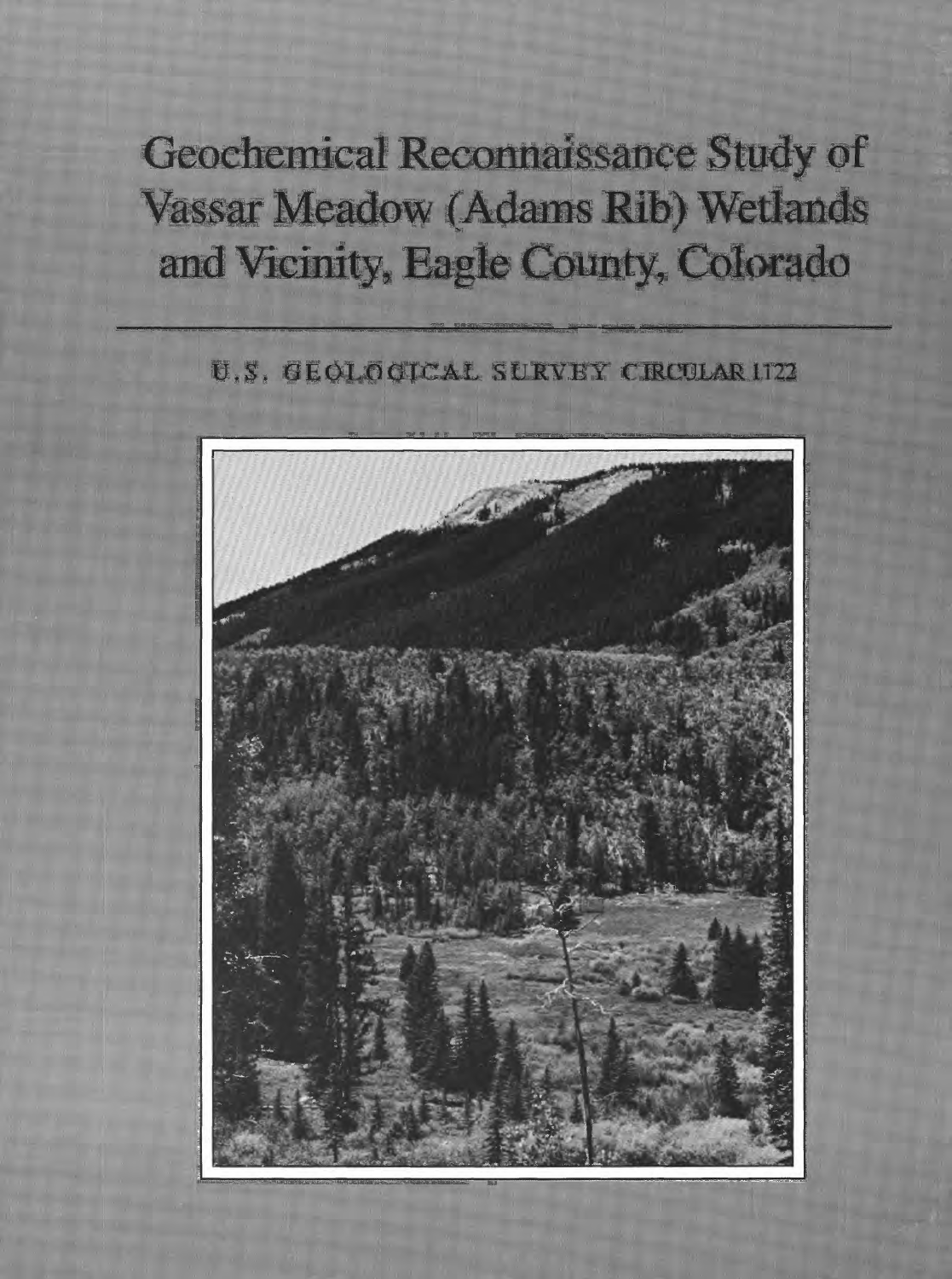# Geochemical Reconnaissance Study of Vassar Meadow (Adams Rib) Wetlands and Vicinity, Eagle County, Colorado

## U.S. GEOLOGICAL SURVEY CIRCULAR 1722

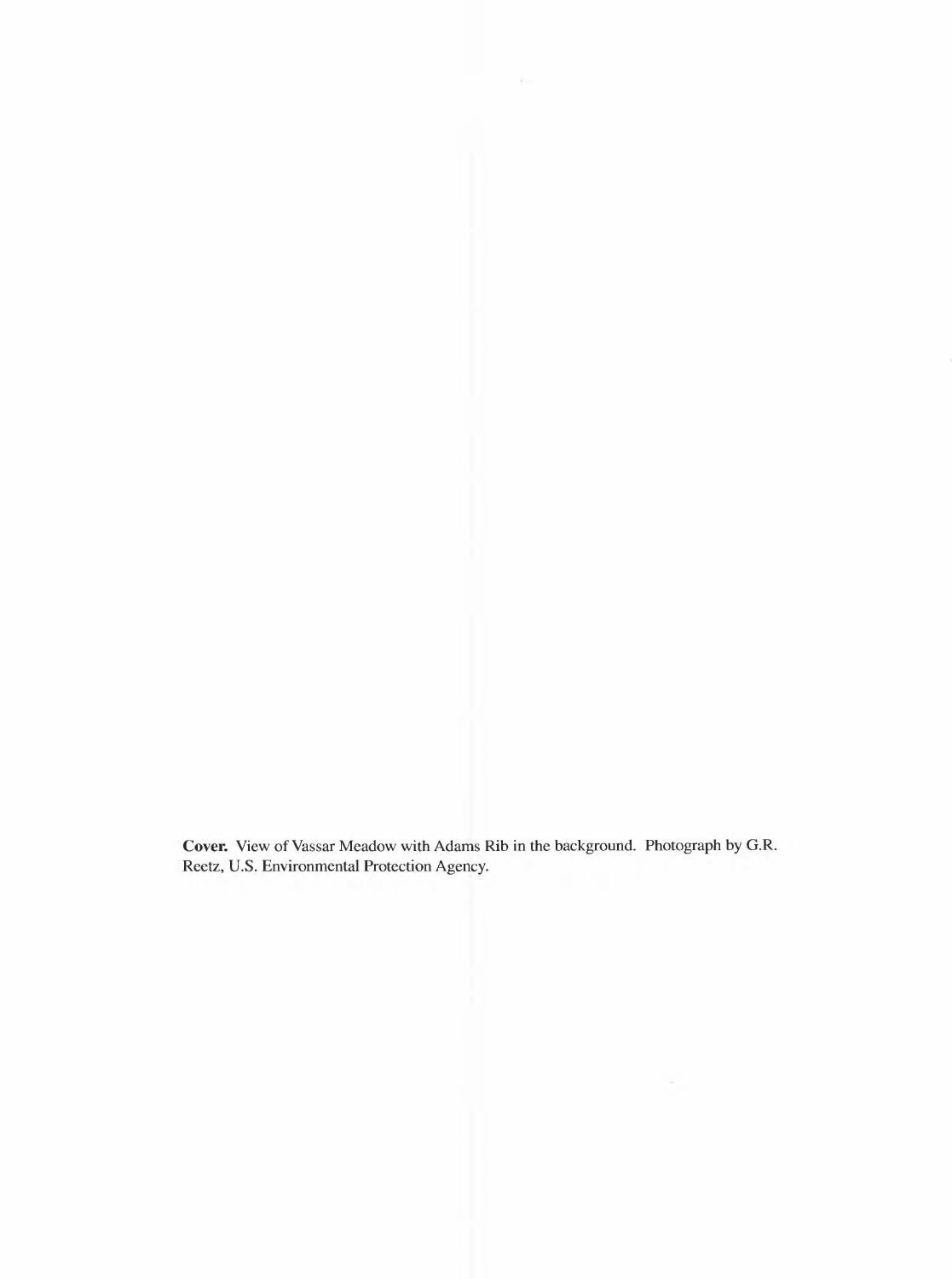**Cover.** View of Vassar Meadow with Adams Rib in the background. Photograph by G.R. Reetz, U.S. Environmental Protection Agency.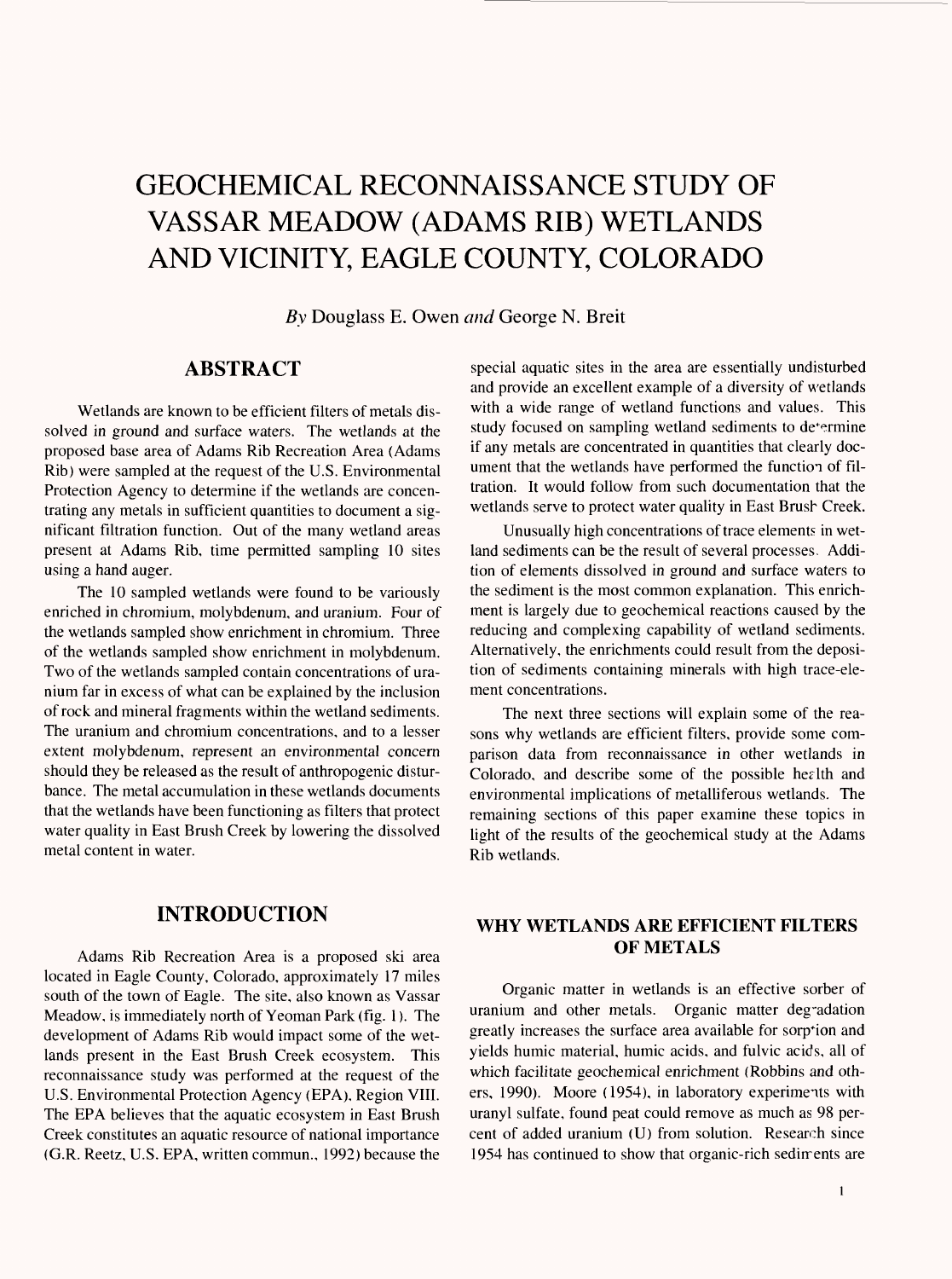## GEOCHEMICAL RECONNAISSANCE STUDY OF VASSAR MEADOW (ADAMS RIB) WETLANDS AND VICINITY, EAGLE COUNTY, COLORADO

*By* Douglass E. Owen *and* George N. Breit

#### **ABSTRACT**

Wetlands are known to be efficient filters of metals dissolved in ground and surface waters. The wetlands at the proposed base area of Adams Rib Recreation Area (Adams Rib) were sampled at the request of the U.S. Environmental Protection Agency to determine if the wetlands are concentrating any metals in sufficient quantities to document a significant filtration function. Out of the many wetland areas present at Adams Rib, time permitted sampling 10 sites using a hand auger.

The 10 sampled wetlands were found to be variously enriched in chromium, molybdenum, and uranium. Four of the wetlands sampled show enrichment in chromium. Three of the wetlands sampled show enrichment in molybdenum. Two of the wetlands sampled contain concentrations of uranium far in excess of what can be explained by the inclusion of rock and mineral fragments within the wetland sediments. The uranium and chromium concentrations, and to a lesser extent molybdenum, represent an environmental concern should they be released as the result of anthropogenic disturbance. The metal accumulation in these wetlands documents that the wetlands have been functioning as filters that protect water quality in East Brush Creek by lowering the dissolved metal content in water.

#### **INTRODUCTION**

Adams Rib Recreation Area is a proposed ski area located in Eagle County, Colorado, approximately 17 miles south of the town of Eagle. The site, also known as Vassar Meadow, is immediately north of Yeoman Park (fig. 1). The development of Adams Rib would impact some of the wetlands present in the East Brush Creek ecosystem. This reconnaissance study was performed at the request of the U.S. Environmental Protection Agency (EPA), Region VIII. The EPA believes that the aquatic ecosystem in East Brush Creek constitutes an aquatic resource of national importance (G.R. Reetz, U.S. EPA, written commun., 1992) because the special aquatic sites in the area are essentially undisturbed and provide an excellent example of a diversity of wetlands with a wide range of wetland functions and values. This study focused on sampling wetland sediments to de<sup>termine</sup> if any metals are concentrated in quantities that clearly document that the wetlands have performed the function of filtration. It would follow from such documentation that the wetlands serve to protect water quality in East Brush Creek.

Unusually high concentrations of trace elements in wetland sediments can be the result of several processes. Addition of elements dissolved in ground and surface waters to the sediment is the most common explanation. This enrichment is largely due to geochemical reactions caused by the reducing and complexing capability of wetland sediments. Alternatively, the enrichments could result from the deposition of sediments containing minerals with high trace-element concentrations.

The next three sections will explain some of the reasons why wetlands are efficient filters, provide some comparison data from reconnaissance in other wetlands in Colorado, and describe some of the possible health and environmental implications of metalliferous wetlands. The remaining sections of this paper examine these topics in light of the results of the geochemical study at the Adams Rib wetlands.

#### **WHY WETLANDS ARE EFFICIENT FILTERS OF METALS**

Organic matter in wetlands is an effective sorber of uranium and other metals. Organic matter degradation greatly increases the surface area available for sorp\*ion and yields humic material, humic acids, and fulvic acids, all of which facilitate geochemical enrichment (Robbins and others, 1990). Moore (1954), in laboratory experiments with uranyl sulfate, found peat could remove as much as 98 percent of added uranium (U) from solution. Research since 1954 has continued to show that organic-rich sediments are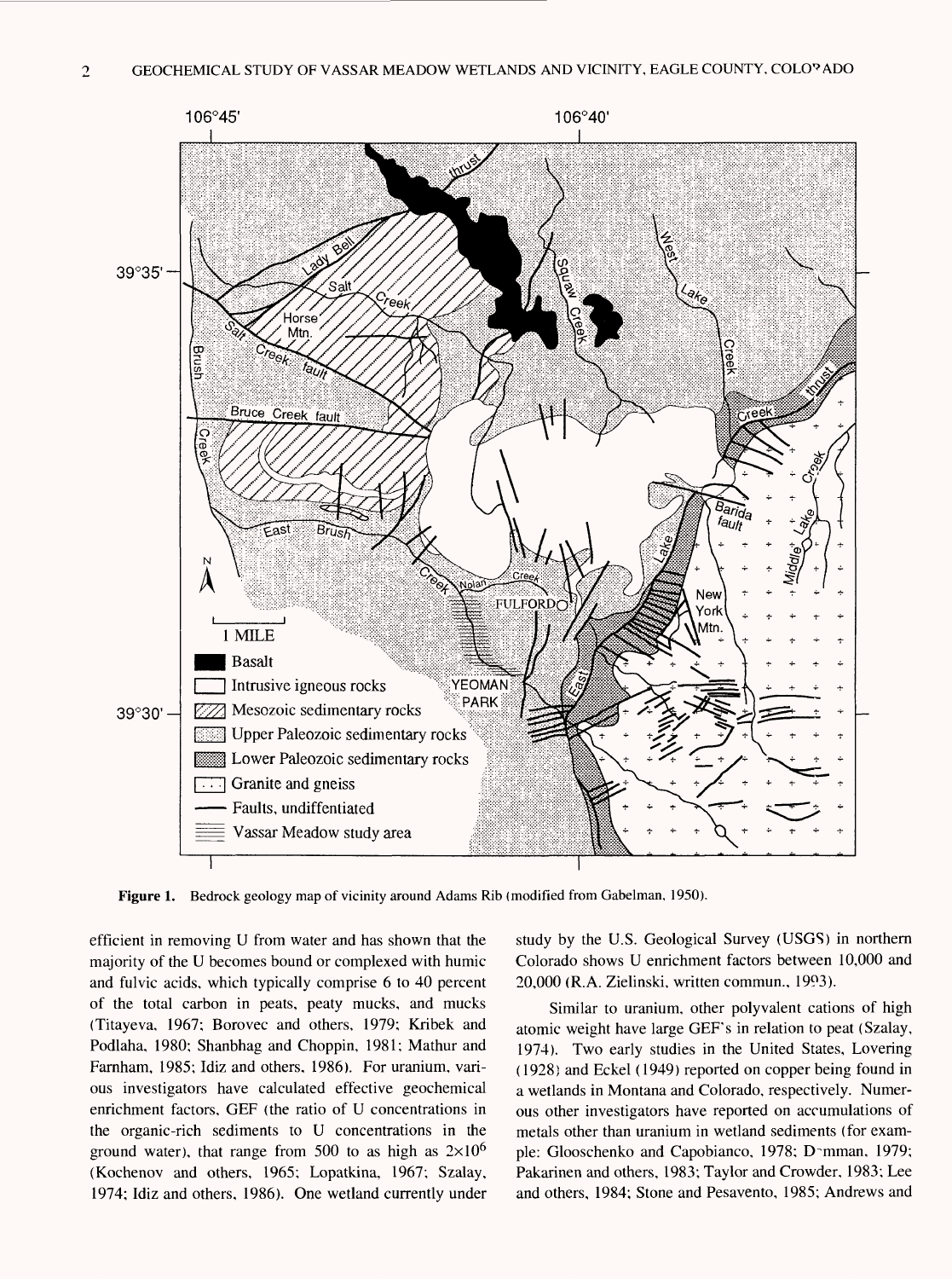

**Figure 1.** Bedrock geology map of vicinity around Adams Rib (modified from Gabelman, 1950).

efficient in removing U from water and has shown that the majority of the U becomes bound or complexed with humic and fulvic acids, which typically comprise 6 to 40 percent of the total carbon in peats, peaty mucks, and mucks (Titayeva, 1967; Borovec and others, 1979; Kribek and Podlaha, 1980; Shanbhag and Choppin, 1981; Mathur and Farnham, 1985; Idiz and others, 1986). For uranium, various investigators have calculated effective geochemical enrichment factors, GEF (the ratio of U concentrations in the organic-rich sediments to U concentrations in the ground water), that range from 500 to as high as  $2\times10^6$ (Kochenov and others, 1965; Lopatkina, 1967; Szalay, 1974; Idiz and others, 1986). One wetland currently under study by the U.S. Geological Survey (USGS) in northern Colorado shows U enrichment factors between 10,000 and 20,000 (R.A. Zielinski, written commun., 1993).

Similar to uranium, other polyvalent cations of high atomic weight have large GEF's in relation to peat (Szalay, 1974). Two early studies in the United States, Levering (1928) and Eckel (1949) reported on copper being found in a wetlands in Montana and Colorado, respectively. Numerous other investigators have reported on accumulations of metals other than uranium in wetland sediments (for example: Glooschenko and Capobianco, 1978; D^mman, 1979; Pakarinen and others, 1983; Taylor and Crowder, 1983; Lee and others, 1984; Stone and Pesavento, 1985; Andrews and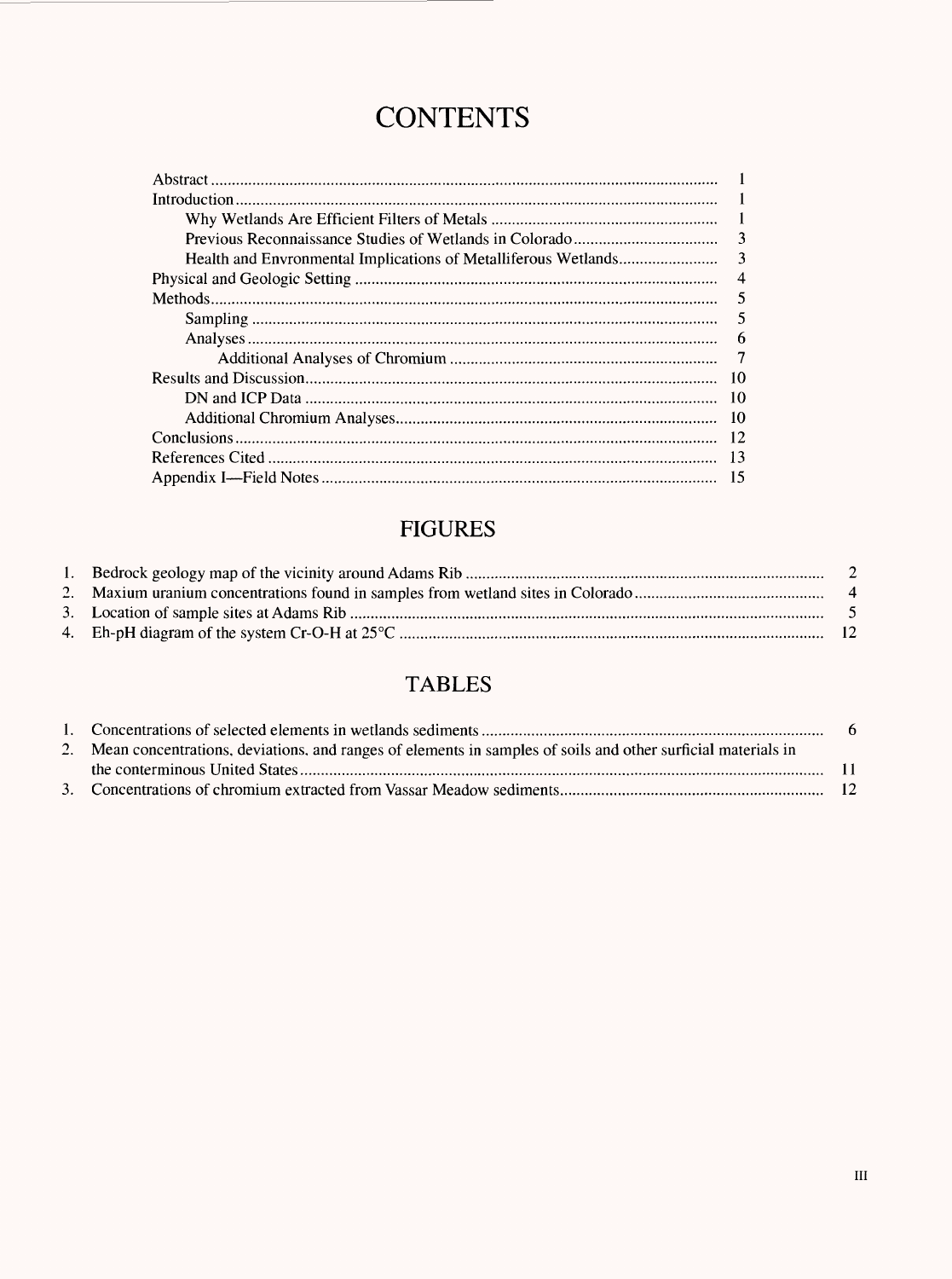## **CONTENTS**

| $\mathcal{R}$ |
|---------------|
| -3            |
|               |
|               |
| 5             |
| 6             |
|               |
|               |
| -10           |
|               |
|               |
|               |
|               |

### **FIGURES**

### **TABLES**

| 2. Mean concentrations, deviations, and ranges of elements in samples of soils and other surficial materials in |  |
|-----------------------------------------------------------------------------------------------------------------|--|
|                                                                                                                 |  |
|                                                                                                                 |  |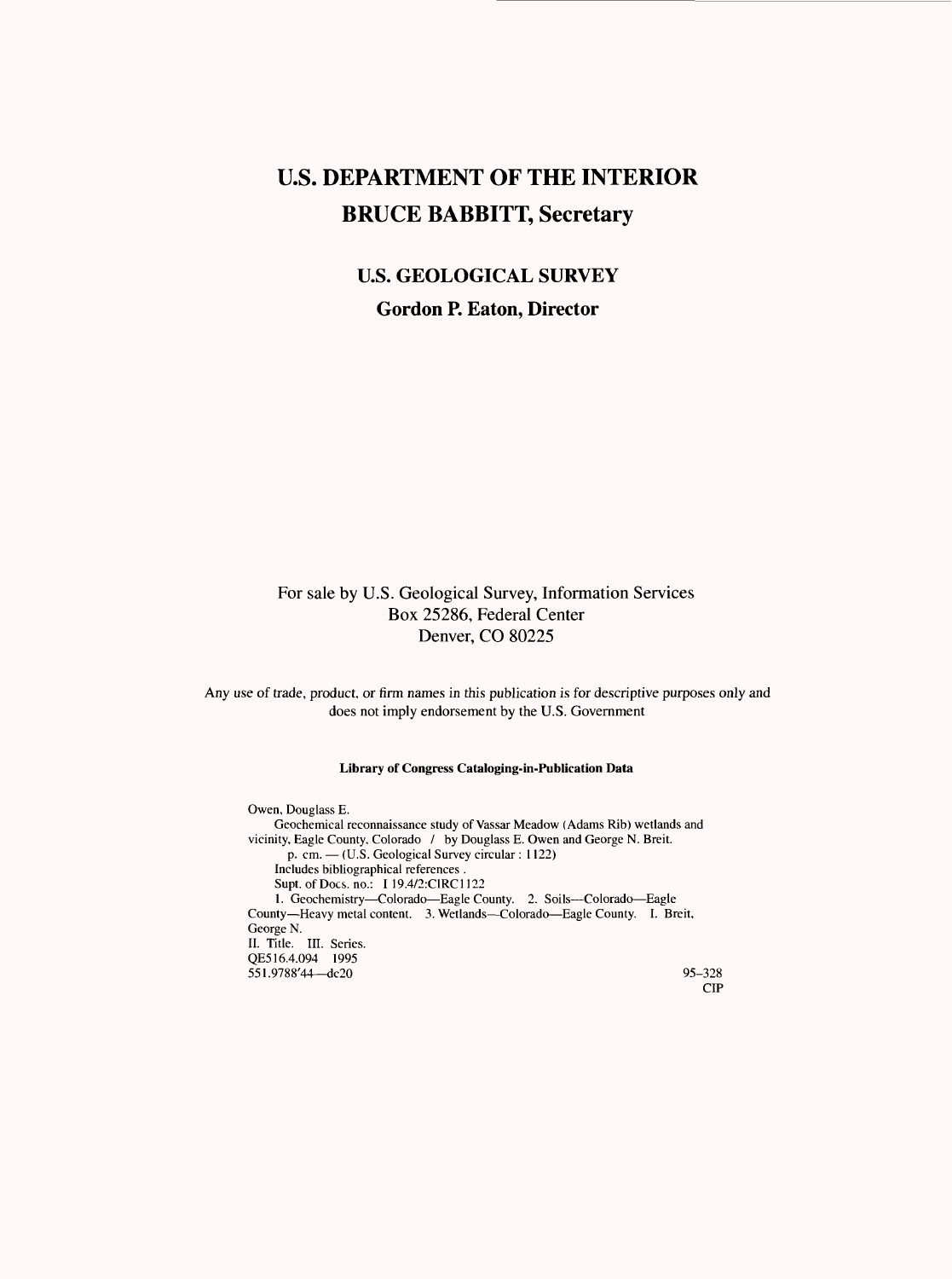### **U.S. DEPARTMENT OF THE INTERIOR BRUCE BABBITT, Secretary**

### **U.S. GEOLOGICAL SURVEY Gordon P. Eaton, Director**

#### For sale by U.S. Geological Survey, Information Services Box 25286, Federal Center Denver, CO 80225

Any use of trade, product, or firm names in this publication is for descriptive purposes only and does not imply endorsement by the U.S. Government

#### **Library of Congress Cataloging-in-Publication Data**

Owen, Douglass E. Geochemical reconnaissance study of Vassar Meadow (Adams Rib) wetlands and vicinity, Eagle County, Colorado / by Douglass E. Owen and George N. Breit. p. cm. - (U.S. Geological Survey circular : 1122) Includes bibliographical references . Supt. of Docs, no.: I 19.4/2:CIRC1122 1. Geochemistry-Colorado-Eagle County. 2. Soils--Colorado-Eagle County-Heavy metal content. 3. Wetlands-Colorado-Eagle County. I. Breit, George N. II. Title. III. Series. QE516.4.094 1995 551.9788'44 dc20 95-328 CIP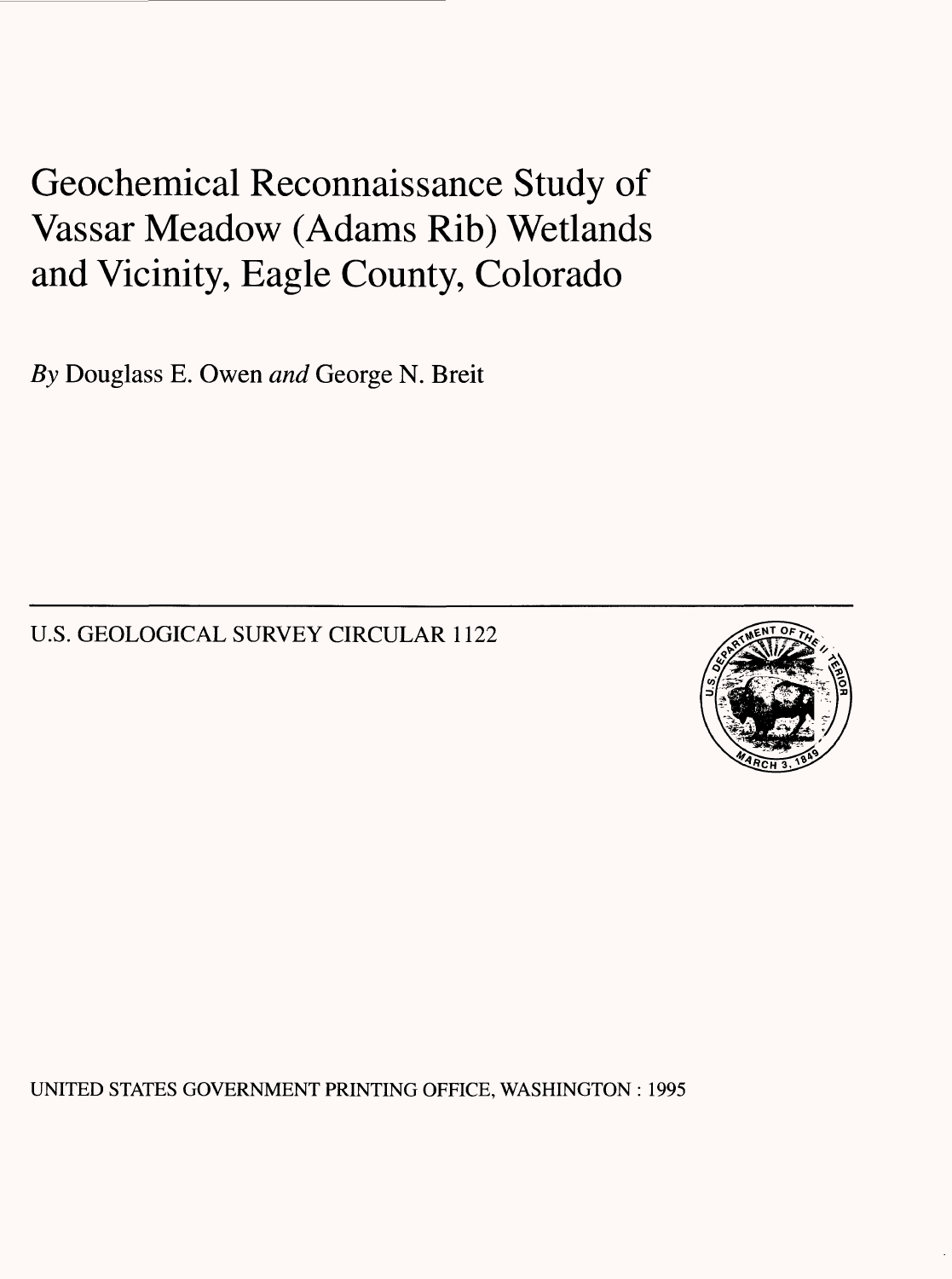## Geochemical Reconnaissance Study of Vassar Meadow (Adams Rib) Wetlands and Vicinity, Eagle County, Colorado

*By* Douglass E. Owen *and* George N. Breit

U.S. GEOLOGICAL SURVEY CIRCULAR 1122



UNITED STATES GOVERNMENT PRINTING OFFICE, WASHINGTON : 1995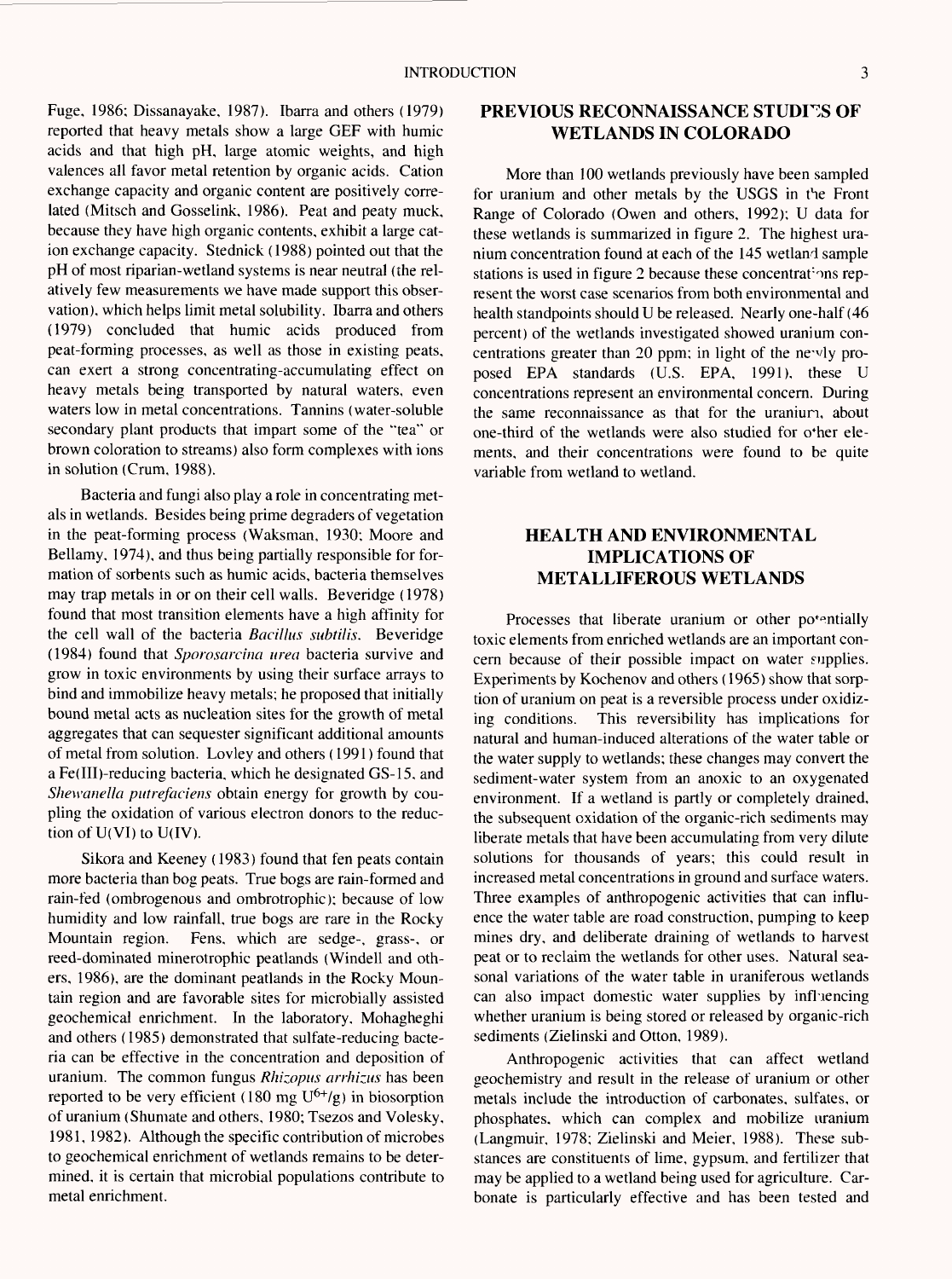Fuge, 1986; Dissanayake, 1987). Ibarra and others (1979) reported that heavy metals show a large GEF with humic acids and that high pH, large atomic weights, and high valences all favor metal retention by organic acids. Cation exchange capacity and organic content are positively correlated (Mitsch and Gosselink, 1986). Peat and peaty muck, because they have high organic contents, exhibit a large cation exchange capacity. Stednick (1988) pointed out that the pH of most riparian-wetland systems is near neutral (the relatively few measurements we have made support this observation), which helps limit metal solubility. Ibarra and others (1979) concluded that humic acids produced from peat-forming processes, as well as those in existing peats, can exert a strong concentrating-accumulating effect on heavy metals being transported by natural waters, even waters low in metal concentrations. Tannins (water-soluble secondary plant products that impart some of the "tea" or brown coloration to streams) also form complexes with ions in solution (Crum, 1988).

Bacteria and fungi also play a role in concentrating metals in wetlands. Besides being prime degraders of vegetation in the peat-forming process (Waksman, 1930; Moore and Bellamy, 1974), and thus being partially responsible for formation of sorbents such as humic acids, bacteria themselves may trap metals in or on their cell walls. Beveridge (1978) found that most transition elements have a high affinity for the cell wall of the bacteria *Bacillus subtilis.* Beveridge (1984) found that *Sporosarcina urea* bacteria survive and grow in toxic environments by using their surface arrays to bind and immobilize heavy metals; he proposed that initially bound metal acts as nucleation sites for the growth of metal aggregates that can sequester significant additional amounts of metal from solution. Lovley and others (1991) found that a Fe(III)-reducing bacteria, which he designated GS-15, and *Shewanella pittrefaciens* obtain energy for growth by coupling the oxidation of various electron donors to the reduction of U(VI) to U(IV).

Sikora and Keeney (1983) found that fen peats contain more bacteria than bog peats. True bogs are rain-formed and rain-fed (ombrogenous and ombrotrophic); because of low humidity and low rainfall, true bogs are rare in the Rocky Mountain region. Fens, which are sedge-, grass-, or reed-dominated minerotrophic peatlands (Windell and others, 1986), are the dominant peatlands in the Rocky Mountain region and are favorable sites for microbially assisted geochemical enrichment. In the laboratory, Mohagheghi and others (1985) demonstrated that sulfate-reducing bacteria can be effective in the concentration and deposition of uranium. The common fungus *Rhizopus arrhizus* has been reported to be very efficient (180 mg  $U^{6+}/g$ ) in biosorption of uranium (Shumate and others, 1980; Tsezos and Volesky, 1981, 1982). Although the specific contribution of microbes to geochemical enrichment of wetlands remains to be determined, it is certain that microbial populations contribute to metal enrichment.

#### **PREVIOUS RECONNAISSANCE STUDIES OF WETLANDS IN COLORADO**

More than 100 wetlands previously have been sampled for uranium and other metals by the USGS in the Front Range of Colorado (Owen and others, 1992); U data for these wetlands is summarized in figure 2. The highest uranium concentration found at each of the 145 wetland sample stations is used in figure 2 because these concentrations represent the worst case scenarios from both environmental and health standpoints should U be released. Nearly one-half (46 percent) of the wetlands investigated showed uranium concentrations greater than 20 ppm; in light of the ne-vly proposed EPA standards (U.S. EPA, 1991), these U concentrations represent an environmental concern. During the same reconnaissance as that for the uraniun, about one-third of the wetlands were also studied for o'her elements, and their concentrations were found to be quite variable from wetland to wetland.

#### **HEALTH AND ENVIRONMENTAL IMPLICATIONS OF METALLIFEROUS WETLANDS**

Processes that liberate uranium or other potentially toxic elements from enriched wetlands are an important concern because of their possible impact on water supplies. Experiments by Kochenov and others (1965) show that sorption of uranium on peat is a reversible process under oxidizing conditions. This reversibility has implications for natural and human-induced alterations of the water table or the water supply to wetlands; these changes may convert the sediment-water system from an anoxic to an oxygenated environment. If a wetland is partly or completely drained, the subsequent oxidation of the organic-rich sediments may liberate metals that have been accumulating from very dilute solutions for thousands of years; this could result in increased metal concentrations in ground and surface waters. Three examples of anthropogenic activities that can influence the water table are road construction, pumping to keep mines dry, and deliberate draining of wetlands to harvest peat or to reclaim the wetlands for other uses. Natural seasonal variations of the water table in uraniferous wetlands can also impact domestic water supplies by infhiencing whether uranium is being stored or released by organic-rich sediments (Zielinski and Otton, 1989).

Anthropogenic activities that can affect wetland geochemistry and result in the release of uranium or other metals include the introduction of carbonates, sulfates, or phosphates, which can complex and mobilize uranium (Langmuir, 1978; Zielinski and Meier, 1988). These substances are constituents of lime, gypsum, and fertilizer that may be applied to a wetland being used for agriculture. Carbonate is particularly effective and has been tested and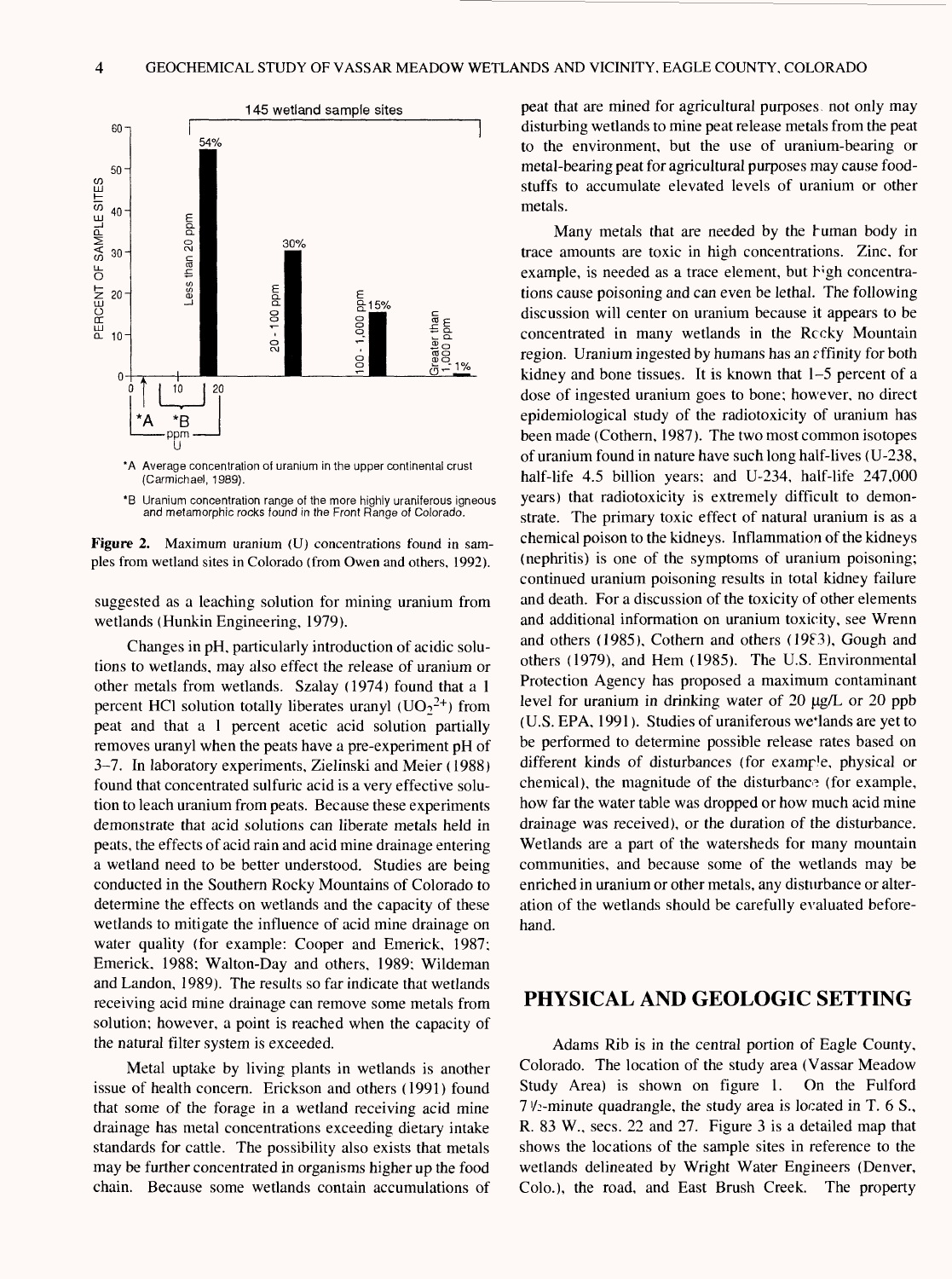

\*A Average concentration of uranium in the upper continental crust (Carmichael, 1989).

\*B Uranium concentration range of the more highly uraniferous igneous and metamorphic rocks found in the Front Range of Colorado.



suggested as a leaching solution for mining uranium from wetlands (Hunkin Engineering, 1979).

Changes in pH, particularly introduction of acidic solutions to wetlands, may also effect the release of uranium or other metals from wetlands. Szalay (1974) found that a 1 percent HCl solution totally liberates uranyl  $(UO<sub>2</sub><sup>2+</sup>)$  from peat and that a 1 percent acetic acid solution partially removes uranyl when the peats have a pre-experiment pH of 3-7. In laboratory experiments, Zielinski and Meier (1988) found that concentrated sulfuric acid is a very effective solution to leach uranium from peats. Because these experiments demonstrate that acid solutions can liberate metals held in peats, the effects of acid rain and acid mine drainage entering a wetland need to be better understood. Studies are being conducted in the Southern Rocky Mountains of Colorado to determine the effects on wetlands and the capacity of these wetlands to mitigate the influence of acid mine drainage on water quality (for example: Cooper and Emerick, 1987; Emerick, 1988; Walton-Day and others, 1989; Wildeman and Landon, 1989). The results so far indicate that wetlands receiving acid mine drainage can remove some metals from solution; however, a point is reached when the capacity of the natural filter system is exceeded.

Metal uptake by living plants in wetlands is another issue of health concern. Erickson and others (1991) found that some of the forage in a wetland receiving acid mine drainage has metal concentrations exceeding dietary intake standards for cattle. The possibility also exists that metals may be further concentrated in organisms higher up the food chain. Because some wetlands contain accumulations of peat that are mined for agricultural purposes, not only may disturbing wetlands to mine peat release metals from the peat to the environment, but the use of uranium-bearing or metal-bearing peat for agricultural purposes may cause foodstuffs to accumulate elevated levels of uranium or other metals.

Many metals that are needed by the human body in trace amounts are toxic in high concentrations. Zinc, for example, is needed as a trace element, but high concentrations cause poisoning and can even be lethal. The following discussion will center on uranium because it appears to be concentrated in many wetlands in the Reeky Mountain region. Uranium ingested by humans has an *t* ffmity for both kidney and bone tissues. It is known that 1-5 percent of a dose of ingested uranium goes to bone; however, no direct epidemiological study of the radiotoxicity of uranium has been made (Cothern, 1987). The two most common isotopes of uranium found in nature have such long half-lives (U-238, half-life 4.5 billion years; and U-234, half-life 247,000 years) that radiotoxicity is extremely difficult to demonstrate. The primary toxic effect of natural uranium is as a chemical poison to the kidneys. Inflammation of the kidneys (nephritis) is one of the symptoms of uranium poisoning; continued uranium poisoning results in total kidney failure and death. For a discussion of the toxicity of other elements and additional information on uranium toxicity, see Wrenn and others (1985), Cothern and others (19F3), Gough and others (1979), and Hem (1985). The U.S. Environmental Protection Agency has proposed a maximum contaminant level for uranium in drinking water of  $20 \mu g/L$  or  $20 \text{ ppb}$ (U.S. EPA, 1991). Studies of uraniferous we lands are yet to be performed to determine possible release rates based on different kinds of disturbances (for example, physical or chemical), the magnitude of the disturbance (for example, how far the water table was dropped or how much acid mine drainage was received), or the duration of the disturbance. Wetlands are a part of the watersheds for many mountain communities, and because some of the wetlands may be enriched in uranium or other metals, any disturbance or alteration of the wetlands should be carefully evaluated beforehand.

#### **PHYSICAL AND GEOLOGIC SETTING**

Adams Rib is in the central portion of Eagle County, Colorado. The location of the study area (Vassar Meadow Study Area) is shown on figure 1. On the Fulford  $7 \frac{\nu_{2}}{\nu_{12}}$ -minute quadrangle, the study area is located in T. 6 S., R. 83 W., sees. 22 and 27. Figure 3 is a detailed map that shows the locations of the sample sites in reference to the wetlands delineated by Wright Water Engineers (Denver, Colo.), the road, and East Brush Creek. The property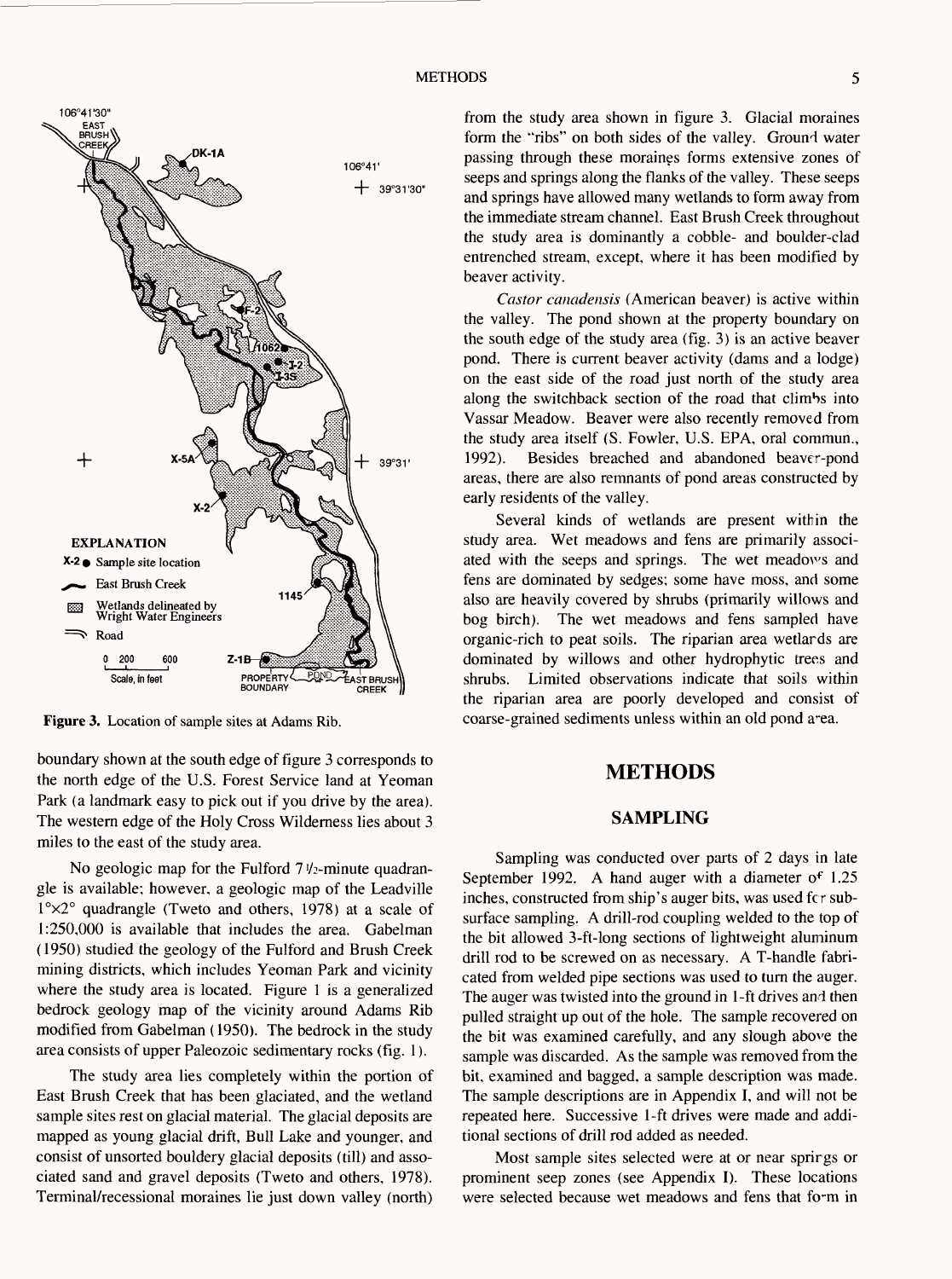

**Figure** 3. Location of sample sites at Adams Rib.

boundary shown at the south edge of figure 3 corresponds to the north edge of the U.S. Forest Service land at Yeoman Park (a landmark easy to pick out if you drive by the area). The western edge of the Holy Cross Wilderness lies about 3 miles to the east of the study area.

No geologic map for the Fulford  $7\frac{1}{2}$ -minute quadrangle is available; however, a geologic map of the Leadville I°x2° quadrangle (Tweto and others, 1978) at a scale of 1:250,000 is available that includes the area. Gabelman (1950) studied the geology of the Fulford and Brush Creek mining districts, which includes Yeoman Park and vicinity where the study area is located. Figure 1 is a generalized bedrock geology map of the vicinity around Adams Rib modified from Gabelman (1950). The bedrock in the study area consists of upper Paleozoic sedimentary rocks (fig. 1).

The study area lies completely within the portion of East Brush Creek that has been glaciated, and the wetland sample sites rest on glacial material. The glacial deposits are mapped as young glacial drift, Bull Lake and younger, and consist of unsorted bouldery glacial deposits (till) and associated sand and gravel deposits (Tweto and others, 1978). Terminal/recessional moraines lie just down valley (north)

from the study area shown in figure 3. Glacial moraines form the "ribs" on both sides of the valley. Ground water passing through these moraines forms extensive zones of seeps and springs along the flanks of the valley. These seeps and springs have allowed many wetlands to form away from the immediate stream channel. East Brush Creek throughout the study area is dominantly a cobble- and boulder-clad entrenched stream, except, where it has been modified by beaver activity.

*Castor canadensis* (American beaver) is active within the valley. The pond shown at the property boundary on the south edge of the study area (fig. 3) is an active beaver pond. There is current beaver activity (dams and a lodge) on the east side of the road just north of the study area along the switchback section of the road that climbs into Vassar Meadow. Beaver were also recently removed from the study area itself (S. Fowler, U.S. EPA, oral commun., 1992). Besides breached and abandoned beaver-pond areas, there are also remnants of pond areas constructed by early residents of the valley.

Several kinds of wetlands are present within the study area. Wet meadows and fens are primarily associated with the seeps and springs. The wet meadows and fens are dominated by sedges; some have moss, and some also are heavily covered by shrubs (primarily willows and bog birch). The wet meadows and fens sampled have organic-rich to peat soils. The riparian area wetlards are dominated by willows and other hydrophytic trees and shrubs. Limited observations indicate that soils within the riparian area are poorly developed and consist of coarse-grained sediments unless within an old pond a^ea.

#### **METHODS**

#### **SAMPLING**

Sampling was conducted over parts of 2 days in late September 1992. A hand auger with a diameter of 1.25 inches, constructed from ship's auger bits, was used fcr subsurface sampling. A drill-rod coupling welded to the top of the bit allowed 3-ft-long sections of lightweight aluminum drill rod to be screwed on as necessary. A T-handle fabricated from welded pipe sections was used to turn the auger. The auger was twisted into the ground in 1-ft drives and then pulled straight up out of the hole. The sample recovered on the bit was examined carefully, and any slough above the sample was discarded. As the sample was removed from the bit, examined and bagged, a sample description was made. The sample descriptions are in Appendix I, and will not be repeated here. Successive 1-ft drives were made and additional sections of drill rod added as needed.

Most sample sites selected were at or near springs or prominent seep zones (see Appendix I). These locations were selected because wet meadows and fens that form in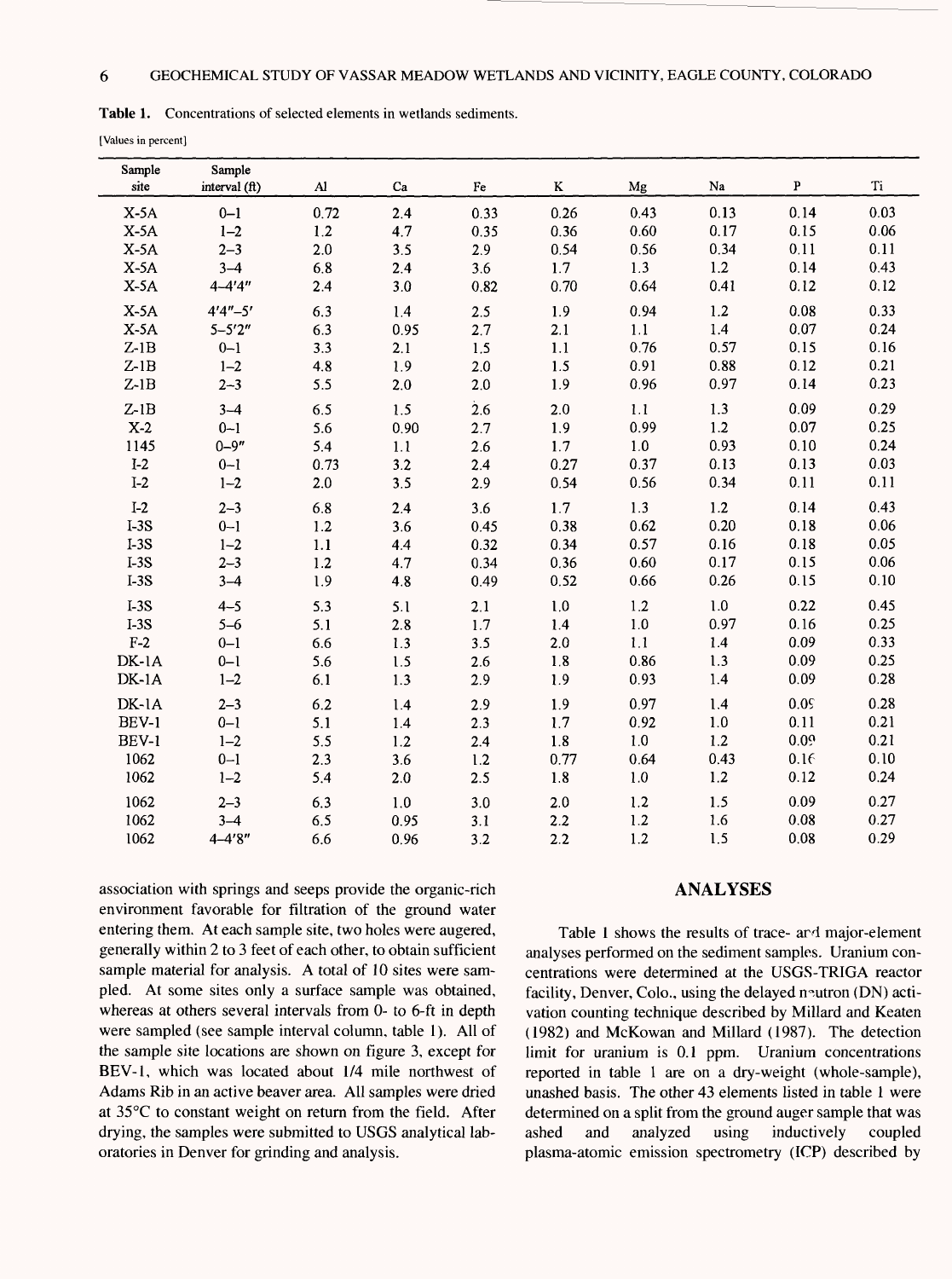| <b>Table 1.</b> Concentrations of selected elements in wetlands sediments. |  |
|----------------------------------------------------------------------------|--|
|----------------------------------------------------------------------------|--|

[Values in percent]

| Sample<br>site | Sample<br>interval (ft) | $\mathbf{A}$ | Ca   | Fe   | K       | Mg      | Na      | P    | Ti   |
|----------------|-------------------------|--------------|------|------|---------|---------|---------|------|------|
| $X-5A$         | $0 - 1$                 | 0.72         | 2.4  | 0.33 | 0.26    | 0.43    | 0.13    | 0.14 | 0.03 |
| $X-5A$         | $1 - 2$                 | 1.2          | 4.7  | 0.35 | 0.36    | 0.60    | 0.17    | 0.15 | 0.06 |
| $X-5A$         | $2 - 3$                 | 2.0          | 3.5  | 2.9  | 0.54    | 0.56    | 0.34    | 0.11 | 0.11 |
| $X-5A$         | $3 - 4$                 | 6.8          | 2.4  | 3.6  | 1.7     | 1.3     | 1.2     | 0.14 | 0.43 |
| $X-5A$         | $4 - 4'4''$             | 2.4          | 3.0  | 0.82 | 0.70    | 0.64    | 0.41    | 0.12 | 0.12 |
| $X-5A$         | $4'4'' - 5'$            | 6.3          | 1.4  | 2.5  | 1.9     | 0.94    | 1.2     | 0.08 | 0.33 |
| $X-5A$         | $5 - 5'2''$             | 6.3          | 0.95 | 2.7  | 2.1     | 1.1     | 1.4     | 0.07 | 0.24 |
| $Z-1B$         | $0 - 1$                 | 3.3          | 2.1  | 1.5  | 1.1     | 0.76    | 0.57    | 0.15 | 0.16 |
| $Z-1B$         | $1 - 2$                 | 4.8          | 1.9  | 2.0  | $1.5$   | 0.91    | 0.88    | 0.12 | 0.21 |
| $Z-1B$         | $2 - 3$                 | 5.5          | 2.0  | 2.0  | 1.9     | 0.96    | 0.97    | 0.14 | 0.23 |
| $Z-1B$         | $3 - 4$                 | 6.5          | 1.5  | 2.6  | 2.0     | 1.1     | 1.3     | 0.09 | 0.29 |
| $X-2$          | $0 - 1$                 | 5.6          | 0.90 | 2.7  | 1.9     | 0.99    | 1.2     | 0.07 | 0.25 |
| 1145           | $0 - 9''$               | 5.4          | 1.1  | 2.6  | $1.7\,$ | $1.0\,$ | 0.93    | 0.10 | 0.24 |
| $I-2$          | $0 - 1$                 | 0.73         | 3.2  | 2.4  | 0.27    | 0.37    | 0.13    | 0.13 | 0.03 |
| $I-2$          | $1 - 2$                 | 2.0          | 3.5  | 2.9  | 0.54    | 0.56    | 0.34    | 0.11 | 0.11 |
| $I-2$          | $2 - 3$                 | 6.8          | 2.4  | 3.6  | 1.7     | 1.3     | 1.2     | 0.14 | 0.43 |
| $I-3S$         | $0 - 1$                 | 1.2          | 3.6  | 0.45 | 0.38    | 0.62    | 0.20    | 0.18 | 0.06 |
| $I-3S$         | $1 - 2$                 | 1.1          | 4.4  | 0.32 | 0.34    | 0.57    | 0.16    | 0.18 | 0.05 |
| $I-3S$         | $2 - 3$                 | $1.2$        | 4.7  | 0.34 | 0.36    | 0.60    | 0.17    | 0.15 | 0.06 |
| $I-3S$         | $3 - 4$                 | 1.9          | 4.8  | 0.49 | 0.52    | 0.66    | 0.26    | 0.15 | 0.10 |
| $I-3S$         | $4 - 5$                 | 5.3          | 5.1  | 2.1  | 1.0     | 1.2     | 1.0     | 0.22 | 0.45 |
| $I-3S$         | $5 - 6$                 | 5.1          | 2.8  | 1.7  | 1.4     | $1.0\,$ | 0.97    | 0.16 | 0.25 |
| $F-2$          | $0 - 1$                 | 6.6          | 1.3  | 3.5  | 2.0     | 1.1     | 1.4     | 0.09 | 0.33 |
| DK-1A          | $0 - 1$                 | 5.6          | 1.5  | 2.6  | 1.8     | 0.86    | 1.3     | 0.09 | 0.25 |
| $DK-1A$        | $1 - 2$                 | 6.1          | 1.3  | 2.9  | 1.9     | 0.93    | 1.4     | 0.09 | 0.28 |
| DK-1A          | $2 - 3$                 | 6.2          | 1.4  | 2.9  | 1.9     | 0.97    | 1.4     | 0.05 | 0.28 |
| BEV-1          | $0 - 1$                 | 5.1          | 1.4  | 2.3  | 1.7     | 0.92    | $1.0\,$ | 0.11 | 0.21 |
| BEV-1          | $1 - 2$                 | 5.5          | 1.2  | 2.4  | $1.8\,$ | $1.0$   | 1.2     | 0.09 | 0.21 |
| 1062           | $0 - 1$                 | 2.3          | 3.6  | 1.2  | 0.77    | 0.64    | 0.43    | 0.16 | 0.10 |
| 1062           | $1 - 2$                 | 5.4          | 2.0  | 2.5  | 1.8     | $1.0\,$ | 1.2     | 0.12 | 0.24 |
| 1062           | $2 - 3$                 | 6.3          | 1.0  | 3.0  | 2.0     | 1.2     | 1.5     | 0.09 | 0.27 |
| 1062           | $3 - 4$                 | 6.5          | 0.95 | 3.1  | 2.2     | 1.2     | 1.6     | 0.08 | 0.27 |
| 1062           | $4 - 4'8''$             | 6.6          | 0.96 | 3.2  | $2.2$   | 1.2     | 1.5     | 0.08 | 0.29 |

association with springs and seeps provide the organic-rich environment favorable for filtration of the ground water entering them. At each sample site, two holes were augered, generally within 2 to 3 feet of each other, to obtain sufficient sample material for analysis. A total of 10 sites were sampled. At some sites only a surface sample was obtained, whereas at others several intervals from 0- to 6-ft in depth were sampled (see sample interval column, table 1). All of the sample site locations are shown on figure 3, except for BEV-1, which was located about 1/4 mile northwest of Adams Rib in an active beaver area. All samples were dried at 35°C to constant weight on return from the field. After drying, the samples were submitted to USGS analytical laboratories in Denver for grinding and analysis.

#### **ANALYSES**

Table 1 shows the results of trace- ard major-element analyses performed on the sediment samples. Uranium concentrations were determined at the USGS-TRIGA reactor facility, Denver, Colo., using the delayed neutron (DN) activation counting technique described by Millard and Keaten (1982) and McKowan and Millard (1987). The detection limit for uranium is 0.1 ppm. Uranium concentrations reported in table 1 are on a dry-weight (whole-sample), unashed basis. The other 43 elements listed in table 1 were determined on a split from the ground auger sample that was ashed and analyzed using inductively coupled plasma-atomic emission spectrometry (ICP) described by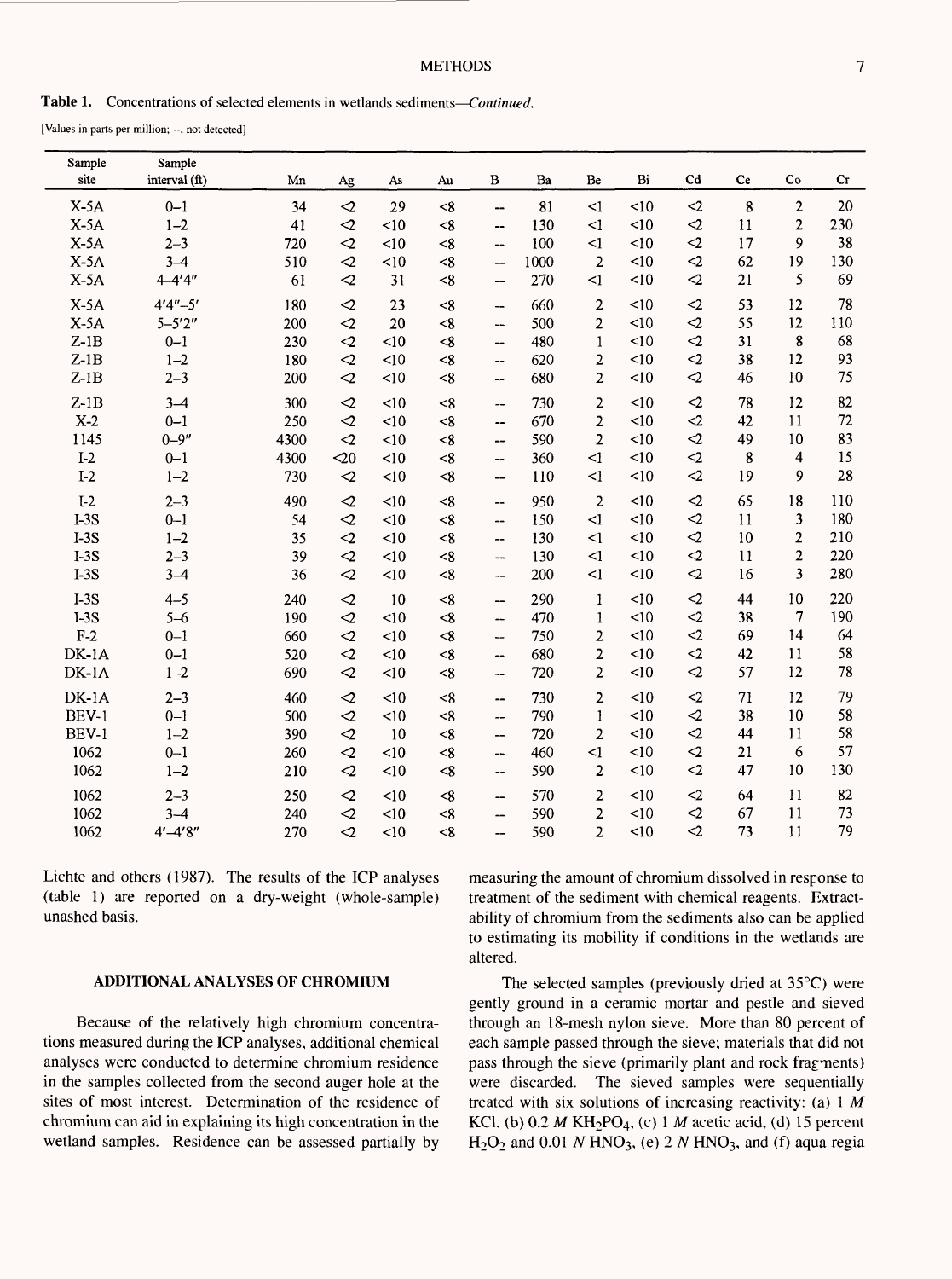#### **METHODS**

[Values in parts per million; --, not detected]

| Sample<br>site | Sample<br>interval (ft) | Mn   | Ag              | As   | Au       | B                             | Ba   | Be             | Bi        | Cd              | Ce | Co             | Cr  |
|----------------|-------------------------|------|-----------------|------|----------|-------------------------------|------|----------------|-----------|-----------------|----|----------------|-----|
| $X-5A$         | $0 - 1$                 | 34   | $\triangle$     | 29   | < 8      | --                            | 81   | $\leq$         | < 10      | $\leq$          | 8  | $\overline{2}$ | 20  |
| $X-5A$         | $1 - 2$                 | 41   | $\mathbf{C}$    | <10  | < 8      | --                            | 130  | $\leq$ 1       | < 10      | $\leq$          | 11 | $\overline{2}$ | 230 |
| $X-5A$         | $2 - 3$                 | 720  | $\mathbf{C}$    | < 10 | < 8      | ш,                            | 100  | $\leq$ 1       | < 10      | $\triangle$     | 17 | 9              | 38  |
| $X-5A$         | $3 - 4$                 | 510  | $\triangle$     | <10  | < 8      | --                            | 1000 | $\overline{2}$ | < 10      | $\leq$          | 62 | 19             | 130 |
| $X-5A$         | $4 - 4'4''$             | 61   | $\triangle$     | 31   | $\leq 8$ | $\qquad \qquad \qquad \qquad$ | 270  | $\leq$         | <10       | $\triangleleft$ | 21 | 5              | 69  |
| $X-5A$         | $4'4'' - 5'$            | 180  | $\triangleleft$ | 23   | < 8      | --                            | 660  | $\overline{c}$ | <10       | $\leq$          | 53 | 12             | 78  |
| $X-5A$         | $5 - 5'2''$             | 200  | $\leq$          | 20   | $\ll$    | $\overline{\phantom{a}}$      | 500  | $\overline{2}$ | <10       | $\triangleleft$ | 55 | 12             | 110 |
| $Z-1B$         | $0 - 1$                 | 230  | $\mathbf{C}$    | <10  | $\leq 8$ | $\overline{\phantom{a}}$      | 480  | $\mathbf{1}$   | <10       | $\leq$          | 31 | 8              | 68  |
| $Z-1B$         | $1 - 2$                 | 180  | $\mathbf{C}$    | <10  | < 8      | --                            | 620  | $\overline{2}$ | < 10      | $\mathbf{C}$    | 38 | 12             | 93  |
| $Z-1B$         | $2 - 3$                 | 200  | $\mathbf{r}$    | <10  | < 8      | --                            | 680  | $\overline{2}$ | <10       | $\triangleleft$ | 46 | 10             | 75  |
| $Z-1B$         | $3 - 4$                 | 300  | $\mathbf{C}$    | <10  | < 8      | --                            | 730  | $\overline{2}$ | <10       | $\triangleleft$ | 78 | 12             | 82  |
| $X-2$          | $0 - 1$                 | 250  | $\triangleleft$ | <10  | <8       | --                            | 670  | $\overline{2}$ | <10       | $\sim$          | 42 | 11             | 72  |
| 1145           | $0 - 9''$               | 4300 | $\triangle$     | < 10 | $\leq 8$ | $\overline{\phantom{a}}$      | 590  | $\overline{2}$ | <10       | $\leq$          | 49 | 10             | 83  |
| $I-2$          | $0 - 1$                 | 4300 | $20$            | < 10 | < 8      | $\overline{\phantom{0}}$      | 360  | $\leq$ 1       | < 10      | $\leq$          | 8  | $\overline{4}$ | 15  |
| $I-2$          | $1 - 2$                 | 730  | $\mathbf{C}$    | <10  | $\ll$    | $\overline{\phantom{a}}$      | 110  | <1             | < 10      | $\leq$          | 19 | 9              | 28  |
| $I-2$          | $2 - 3$                 | 490  | $\mathbf{<}2$   | <10  | < 8      | $\overline{\phantom{a}}$      | 950  | $\overline{2}$ | < 10      | $\mathbf{<}2$   | 65 | 18             | 110 |
| $I-3S$         | $0 - 1$                 | 54   | $\triangle$     | <10  | $\leq 8$ | $\overline{\phantom{a}}$      | 150  | $\leq$         | <10       | $\leq$          | 11 | 3              | 180 |
| $I-3S$         | $1 - 2$                 | 35   | $\triangleleft$ | <10  | < 8      | --                            | 130  | $\leq$         | <10       | $\triangle$     | 10 | $\overline{2}$ | 210 |
| $I-3S$         | $2 - 3$                 | 39   | $\triangleleft$ | <10  | < 8      | --                            | 130  | $\leq$         | <10       | $\mathbf{C}$    | 11 | $\overline{2}$ | 220 |
| $I-3S$         | $3 - 4$                 | 36   | $\leq$          | <10  | <8       | $\overline{\phantom{a}}$      | 200  | $\leq$         | < 10      | $\mathbf{C}$    | 16 | $\overline{3}$ | 280 |
| $I-3S$         | $4 - 5$                 | 240  | $\triangleleft$ | 10   | < 8      | <b>--</b>                     | 290  | $\mathbf{1}$   | <10       | $\triangle$     | 44 | 10             | 220 |
| $I-3S$         | $5 - 6$                 | 190  | $\triangleleft$ | <10  | $\leq 8$ | —                             | 470  | $\mathbf{1}$   | <10       | $\leq$          | 38 | 7              | 190 |
| $F-2$          | $0 - 1$                 | 660  | $\mathbf{C}$    | < 10 | $\leq 8$ | $\overline{\phantom{a}}$      | 750  | $\overline{2}$ | <10       | $\leq$          | 69 | 14             | 64  |
| DK-1A          | $0 - 1$                 | 520  | $\triangleleft$ | <10  | $\leq 8$ | $\overline{\phantom{a}}$      | 680  | $\overline{2}$ | $\leq 10$ | $\leq$          | 42 | 11             | 58  |
| DK-1A          | $1 - 2$                 | 690  | $\triangleleft$ | <10  | < 8      | $\overline{\phantom{a}}$      | 720  | $\overline{2}$ | <10       | $\mathbf{C}$    | 57 | 12             | 78  |
| $DK-1A$        | $2 - 3$                 | 460  | $\triangle$     | <10  | < 8      | $\overline{\phantom{a}}$      | 730  | $\overline{2}$ | <10       | $\leq$          | 71 | 12             | 79  |
| BEV-1          | $0 - 1$                 | 500  | $\triangle$     | <10  | < 8      | --                            | 790  | $\mathbf{1}$   | < 10      | $\mathbf{r}$    | 38 | 10             | 58  |
| BEV-1          | $1 - 2$                 | 390  | $\sim$          | 10   | < 8      | --                            | 720  | $\overline{2}$ | <10       | $\triangle$     | 44 | 11             | 58  |
| 1062           | $0 - 1$                 | 260  | $\triangle$     | <10  | < 8      | --                            | 460  | $\leq$         | <10       | $\leq$          | 21 | 6              | 57  |
| 1062           | $1 - 2$                 | 210  | $\triangle$     | <10  | $\leq 8$ | --                            | 590  | $\overline{2}$ | <10       | $\leq$          | 47 | 10             | 130 |
| 1062           | $2 - 3$                 | 250  | $\triangleleft$ | <10  | $\ll$    | --                            | 570  | 2              | <10       | $\leq$          | 64 | 11             | 82  |
| 1062           | $3 - 4$                 | 240  | $\triangleleft$ | <10  | < 8      | --                            | 590  | $\overline{2}$ | <10       | $\triangleleft$ | 67 | 11             | 73  |
| 1062           | $4' - 4'8''$            | 270  | $\sim$          | <10  | <8       | —                             | 590  | $\overline{2}$ | < 10      | $\mathbf{r}$    | 73 | 11             | 79  |

Lichte and others (1987). The results of the ICP analyses (table 1) are reported on a dry-weight (whole-sample) unashed basis.

#### **ADDITIONAL ANALYSES OF CHROMIUM**

Because of the relatively high chromium concentrations measured during the ICP analyses, additional chemical analyses were conducted to determine chromium residence in the samples collected from the second auger hole at the sites of most interest. Determination of the residence of chromium can aid in explaining its high concentration in the wetland samples. Residence can be assessed partially by measuring the amount of chromium dissolved in response to treatment of the sediment with chemical reagents. Extractability of chromium from the sediments also can be applied to estimating its mobility if conditions in the wetlands are altered.

The selected samples (previously dried at 35°C) were gently ground in a ceramic mortar and pestle and sieved through an 18-mesh nylon sieve. More than 80 percent of each sample passed through the sieve; materials that did not pass through the sieve (primarily plant and rock fragments) were discarded. The sieved samples were sequentially treated with six solutions of increasing reactivity: (a) 1 *M*  KC1, (b) 0.2 *M* KH2PO4, (c) 1 *M* acetic acid, (d) 15 percent  $H<sub>2</sub>O<sub>2</sub>$  and 0.01 *N* HNO<sub>3</sub>, (e) 2 *N* HNO<sub>3</sub>, and (f) aqua regia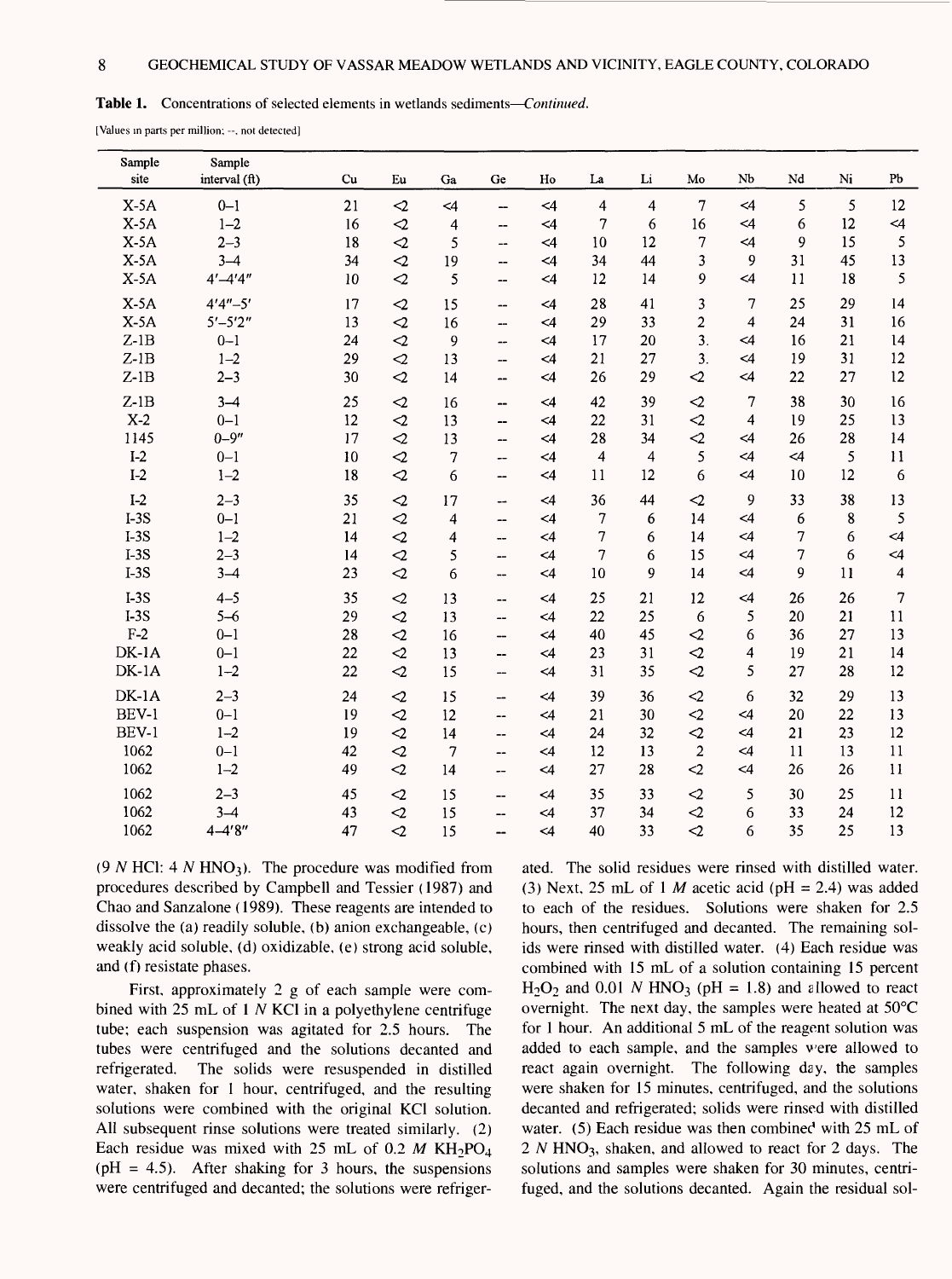#### **Table 1.** Concentrations of selected elements in wetlands sediments *Continued.*

[Values in parts per million; --, not detected]

| Sample<br>site | Sample<br>interval (ft) | Cu | Eu              | Ga       | Ge                                 | Ho       | La                      | $\rm Li$ | Mo               | Nb                      | Nd       | Ni | Pb                       |
|----------------|-------------------------|----|-----------------|----------|------------------------------------|----------|-------------------------|----------|------------------|-------------------------|----------|----|--------------------------|
| $X-5A$         | $0 - 1$                 | 21 | $\triangleleft$ | $\leq 4$ | --                                 | $\leq 4$ | $\overline{\mathbf{4}}$ | 4        | $\tau$           | $\leq 4$                | 5        | 5  | 12                       |
| $X-5A$         | $1 - 2$                 | 16 | $\triangleleft$ | 4        | --                                 | $\leq 4$ | 7                       | 6        | 16               | $\leq$ 4                | 6        | 12 | $\leq 4$                 |
| $X-5A$         | $2 - 3$                 | 18 | $\mathbf{C}$    | 5        | $\overline{\phantom{a}}$           | $\leq 4$ | 10                      | 12       | 7                | $\leq$ 4                | 9        | 15 | 5                        |
| $X-5A$         | $3 - 4$                 | 34 | $\sim$          | 19       | $\overline{\phantom{a}}$           | $\leq 4$ | 34                      | 44       | 3                | 9                       | 31       | 45 | 13                       |
| $X-5A$         | $4' - 4'4''$            | 10 | $\leq$          | 5        | --                                 | $\leq 4$ | 12                      | 14       | 9                | <4                      | 11       | 18 | 5                        |
| $X-5A$         | $4'4'' - 5'$            | 17 | $\triangleleft$ | 15       | --                                 | $\leq 4$ | 28                      | 41       | 3                | 7                       | 25       | 29 | 14                       |
| $X-5A$         | $5' - 5'2''$            | 13 | $\leq$          | 16       | --                                 | $\leq$ 4 | 29                      | 33       | $\overline{c}$   | $\overline{\mathbf{4}}$ | 24       | 31 | 16                       |
| $Z-1B$         | $0 - 1$                 | 24 | $\sim$          | 9        | --                                 | $\leq 4$ | 17                      | 20       | $\overline{3}$ . | $\leq$ 4                | 16       | 21 | 14                       |
| $Z-1B$         | $1 - 2$                 | 29 | $\mathcal{Q}$   | 13       | --                                 | $\leq 4$ | 21                      | 27       | $\overline{3}$ . | $\leq$ 4                | 19       | 31 | 12                       |
| $Z-1B$         | $2 - 3$                 | 30 | $\mathbf{r}$    | 14       | --                                 | $\leq$ 4 | 26                      | 29       | $\mathbf{r}$     | <4                      | 22       | 27 | 12                       |
| $Z-1B$         | $3-4$                   | 25 | $\sim$          | 16       | --                                 | $\leq 4$ | 42                      | 39       | $\triangle$      | 7                       | 38       | 30 | 16                       |
| $X-2$          | $0 - 1$                 | 12 | $\triangleleft$ | 13       | $\overline{\phantom{a}}$           | $\leq 4$ | 22                      | 31       | $\leq$           | 4                       | 19       | 25 | 13                       |
| 1145           | $0 - 9''$               | 17 | $\mathcal{L}$   | 13       | --                                 | $\leq$ 4 | 28                      | 34       | $\leq$           | $\leq$ 4                | 26       | 28 | 14                       |
| $I-2$          | $0 - 1$                 | 10 | $\leq$          | 7        | $\overline{a}$                     | $\leq 4$ | 4                       | 4        | 5                | $\leq$ 4                | $\leq 4$ | 5  | 11                       |
| $I-2$          | $1 - 2$                 | 18 | $\mathbf{C}$    | 6        | --                                 | $\leq$ 4 | 11                      | 12       | 6                | $\leq$ 4                | 10       | 12 | 6                        |
| $I-2$          | $2 - 3$                 | 35 | $\mathbf{C}$    | 17       | --                                 | $\leq 4$ | 36                      | 44       | $\mathbf{<}2$    | 9                       | 33       | 38 | 13                       |
| $I-3S$         | $0 - 1$                 | 21 | $\triangleleft$ | 4        | $\overline{a}$                     | $\leq$ 4 | 7                       | 6        | 14               | $\leq 4$                | 6        | 8  | 5                        |
| $I-3S$         | $1 - 2$                 | 14 | $\triangleleft$ | 4        | --                                 | $\leq 4$ | 7                       | 6        | 14               | $\leq 4$                | 7        | 6  | $\leq 4$                 |
| $I-3S$         | $2 - 3$                 | 14 | $\triangleleft$ | 5        | --                                 | $\leq$ 4 | 7                       | 6        | 15               | $\leq 4$                | 7        | 6  | $\leq$ 4                 |
| $I-3S$         | $3 - 4$                 | 23 | $\triangleleft$ | 6        | --                                 | $\leq 4$ | 10                      | 9        | 14               | $\leq$ 4                | 9        | 11 | $\overline{\mathcal{A}}$ |
| $I-3S$         | $4 - 5$                 | 35 | $\triangleleft$ | 13       | --                                 | $\leq 4$ | 25                      | 21       | 12               | $\leq$ 4                | 26       | 26 | 7                        |
| $I-3S$         | $5 - 6$                 | 29 | $\leq$          | 13       | $\overline{\phantom{a}}$           | $\leq 4$ | 22                      | 25       | 6                | 5                       | 20       | 21 | 11                       |
| $F-2$          | $0 - 1$                 | 28 | $\leq$          | 16       | $\hspace{0.05cm} -\hspace{0.05cm}$ | $\leq 4$ | 40                      | 45       | $\mathbf{C}$     | 6                       | 36       | 27 | 13                       |
| DK-1A          | $0 - 1$                 | 22 | $\sim$          | 13       | --                                 | $\leq 4$ | 23                      | 31       | $\mathcal{L}$    | 4                       | 19       | 21 | 14                       |
| $DK-1A$        | $1 - 2$                 | 22 | $\sim$          | 15       | $\hspace{0.05cm} -\hspace{0.05cm}$ | $\leq 4$ | 31                      | 35       | $\mathbf{C}$     | 5                       | 27       | 28 | 12                       |
| $DK-1A$        | $2 - 3$                 | 24 | $\triangleleft$ | 15       | --                                 | $\leq 4$ | 39                      | 36       | $\leq$           | 6                       | 32       | 29 | 13                       |
| BEV-1          | $0 - 1$                 | 19 | $\triangleleft$ | 12       | --                                 | $\leq 4$ | 21                      | 30       | $\leq$           | $\leq 4$                | 20       | 22 | 13                       |
| BEV-1          | $1 - 2$                 | 19 | $\triangleleft$ | 14       | $\overline{a}$                     | $\leq 4$ | 24                      | 32       | $\triangleleft$  | $\leq 4$                | 21       | 23 | 12                       |
| 1062           | $0 - 1$                 | 42 | $\mathbf{C}$    | 7        | --                                 | $\leq 4$ | 12                      | 13       | $\overline{2}$   | $\leq$ 4                | 11       | 13 | 11                       |
| 1062           | $1 - 2$                 | 49 | $\sim$          | 14       | --                                 | $\leq 4$ | 27                      | 28       | $\leq$           | $\leq 4$                | 26       | 26 | 11                       |
| 1062           | $2 - 3$                 | 45 | $\triangleleft$ | 15       | $\overline{\phantom{a}}$           | $\leq 4$ | 35                      | 33       | $\mathbf{C}$     | 5                       | 30       | 25 | 11                       |
| 1062           | $3 - 4$                 | 43 | $\mathbf{C}$    | 15       | $\overline{\phantom{a}}$           | $\leq 4$ | 37                      | 34       | $\triangle$      | 6                       | 33       | 24 | 12                       |
| 1062           | $4 - 4'8''$             | 47 | $\triangle$     | 15       | $\overline{\phantom{a}}$           | $\leq$ 4 | 40                      | 33       | $\triangleleft$  | 6                       | 35       | 25 | 13                       |

(9  $N$  HCl: 4  $N$  HNO<sub>3</sub>). The procedure was modified from procedures described by Campbell and Tessier (1987) and Chao and Sanzalone (1989). These reagents are intended to dissolve the (a) readily soluble, (b) anion exchangeable, (c) weakly acid soluble, (d) oxidizable, (e) strong acid soluble, and (f) resistate phases.

First, approximately 2 g of each sample were combined with 25 mL *of I N* KC1 in a polyethylene centrifuge tube; each suspension was agitated for 2.5 hours. The tubes were centrifuged and the solutions decanted and refrigerated. The solids were resuspended in distilled water, shaken for 1 hour, centrifuged, and the resulting solutions were combined with the original KC1 solution. All subsequent rinse solutions were treated similarly. (2) Each residue was mixed with 25 mL of 0.2  $M$  KH<sub>2</sub>PO<sub>4</sub>  $(pH = 4.5)$ . After shaking for 3 hours, the suspensions were centrifuged and decanted; the solutions were refrigerated. The solid residues were rinsed with distilled water. (3) Next, 25 mL of 1 *M* acetic acid (pH = 2.4) was added to each of the residues. Solutions were shaken for 2.5 hours, then centrifuged and decanted. The remaining solids were rinsed with distilled water. (4) Each residue was combined with 15 mL of a solution containing 15 percent  $H_2O_2$  and 0.01 N HNO<sub>3</sub> (pH = 1.8) and allowed to react overnight. The next day, the samples were heated at 50°C for 1 hour. An additional 5 mL of the reagent solution was added to each sample, and the samples were allowed to react again overnight. The following day, the samples were shaken for 15 minutes, centrifuged, and the solutions decanted and refrigerated; solids were rinsed with distilled water. (5) Each residue was then combined with  $25$  mL of  $2 N HNO<sub>3</sub>$ , shaken, and allowed to react for 2 days. The solutions and samples were shaken for 30 minutes, centrifuged, and the solutions decanted. Again the residual sol-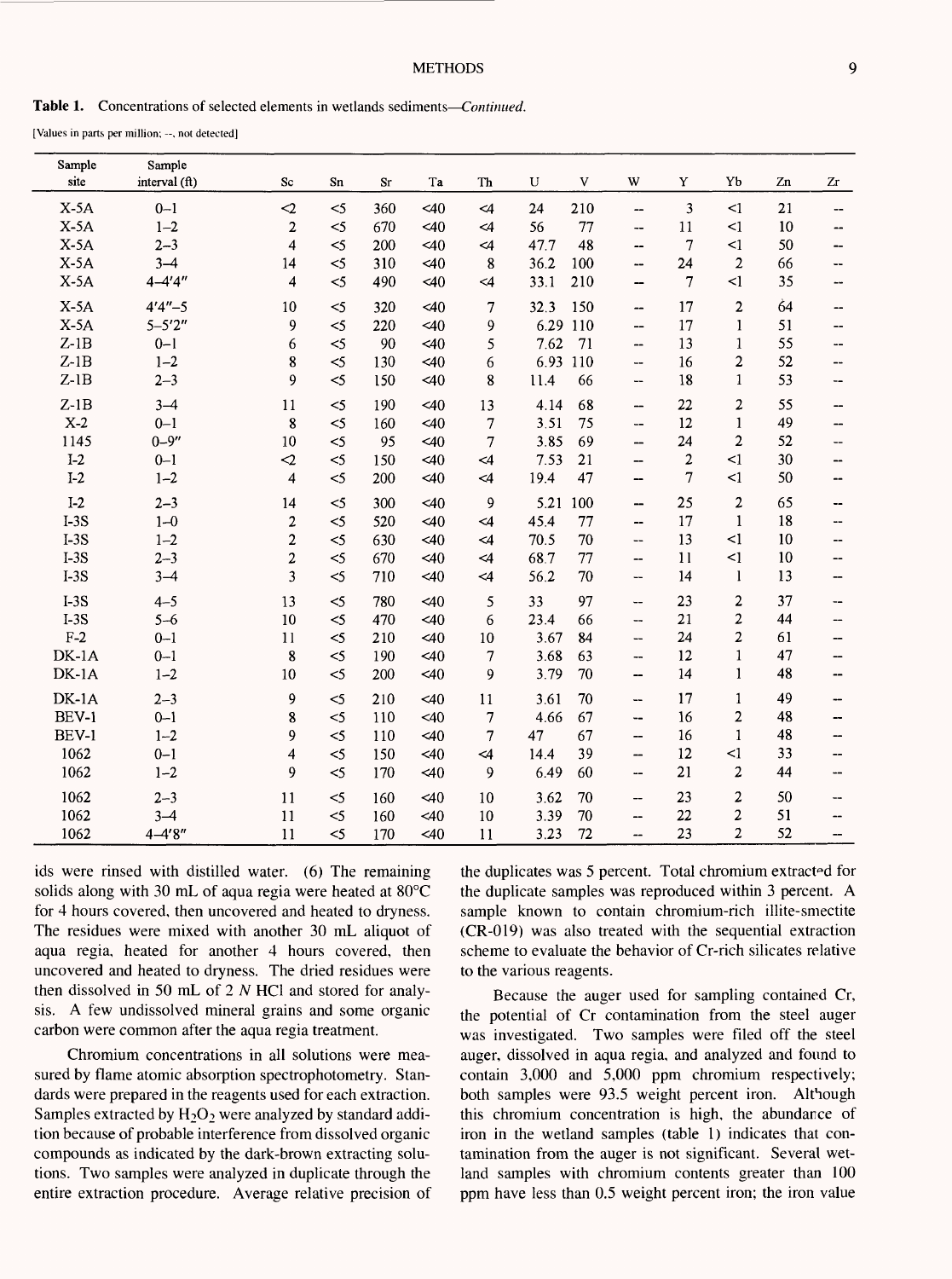**Table 1.** Concentrations of selected elements in wetlands sediments *Continued.*

[Values in parts per million; --, not detected]

| Sample  | Sample        |                         |        |           |           |          |                   |                                |                |                         |    |                   |
|---------|---------------|-------------------------|--------|-----------|-----------|----------|-------------------|--------------------------------|----------------|-------------------------|----|-------------------|
| site    | interval (ft) | Sc                      | Sn     | <b>Sr</b> | Ta        | Th       | $\mathbf{U}$<br>V | W                              | Y              | Yb                      | Zn | Zr                |
| $X-5A$  | $0 - 1$       | $\mathcal{L}$           | $<$ 5  | 360       | <40       | $\leq 4$ | 24<br>210         | $\overline{\phantom{a}}$       | 3              | $\leq$ 1                | 21 | --                |
| $X-5A$  | $1 - 2$       | $\overline{2}$          | $\leq$ | 670       | <40       | $\leq 4$ | 56                | 77<br>$\overline{\phantom{a}}$ | 11             | $\leq$ 1                | 10 |                   |
| $X-5A$  | $2 - 3$       | 4                       | $\leq$ | 200       | 40        | $\leq$ 4 | 47.7              | 48<br>--                       | $\overline{7}$ | $\leq$ 1                | 50 | --                |
| $X-5A$  | $3 - 4$       | 14                      | $<$ 5  | 310       | <40       | 8        | 100<br>36.2       | -−                             | 24             | $\overline{c}$          | 66 | $-$               |
| $X-5A$  | $4 - 4'4''$   | 4                       | $<$ 5  | 490       | <40       | $\leq 4$ | 33.1<br>210       | --                             | 7              | $\leq$                  | 35 |                   |
| $X-5A$  | $4'4'' - 5$   | 10                      | $<$ 5  | 320       | 40        | 7        | 150<br>32.3       | $\overline{\phantom{a}}$       | 17             | 2                       | 64 | --                |
| $X-5A$  | $5 - 5'2''$   | 9                       | $\leq$ | 220       | 40        | 9        | 6.29 110          | --                             | 17             | 1                       | 51 | $\overline{a}$    |
| $Z-1B$  | $0 - 1$       | 6                       | $<$ 5  | 90        | <40       | 5        | 7.62<br>71        | --                             | 13             | $\mathbf{1}$            | 55 | --                |
| $Z-1B$  | $1 - 2$       | 8                       | $\leq$ | 130       | 40        | 6        | 6.93 110          | --                             | 16             | $\mathbf 2$             | 52 |                   |
| $Z-1B$  | $2 - 3$       | 9                       | $\leq$ | 150       | <40       | 8        | 11.4              | 66<br>--                       | 18             | $\mathbf{1}$            | 53 | $\qquad \qquad -$ |
| $Z-1B$  | $3 - 4$       | 11                      | $\leq$ | 190       | <40       | 13       | 4.14              | 68<br>$\overline{\phantom{0}}$ | 22             | $\overline{\mathbf{c}}$ | 55 | --                |
| $X-2$   | $0 - 1$       | 8                       | $\leq$ | 160       | <40       | 7        | 3.51              | 75<br>--                       | 12             | $\mathbf{1}$            | 49 |                   |
| 1145    | $0 - 9''$     | 10                      | $<$ 5  | 95        | <40       | 7        | 3.85<br>69        | $\overline{\phantom{0}}$       | 24             | $\overline{c}$          | 52 |                   |
| $I-2$   | $0 - 1$       | $\mathbf{r}$            | $<$ 5  | 150       | $\leq 40$ | $\leq 4$ | 7.53<br>21        | --                             | 2              | $\leq$ 1                | 30 |                   |
| $I-2$   | $1 - 2$       | $\overline{\mathbf{4}}$ | $\leq$ | 200       | <40       | <4       | 19.4              | 47<br>$\overline{\phantom{0}}$ | 7              | $\leq$ 1                | 50 | --                |
| $I-2$   | $2 - 3$       | 14                      | $<$ 5  | 300       | <40       | 9        | 5.21 100          | --                             | 25             | 2                       | 65 | --                |
| $I-3S$  | $1 - 0$       | $\boldsymbol{2}$        | $\leq$ | 520       | <40       | $\leq$ 4 | 45.4              | 77<br>--                       | 17             | 1                       | 18 | ---               |
| $I-3S$  | $1 - 2$       | $\overline{c}$          | $<$ 5  | 630       | $<$ 40    | $\leq$ 4 | 70.5              | 70<br>$- -$                    | 13             | $\leq$ 1                | 10 |                   |
| $I-3S$  | $2 - 3$       | 2                       | $\leq$ | 670       | <40       | $\leq$ 4 | 68.7              | 77<br>--                       | 11             | $\leq$ 1                | 10 |                   |
| $I-3S$  | $3 - 4$       | 3                       | $\leq$ | 710       | 40        | $\leq$ 4 | 56.2              | 70<br>--                       | 14             | 1                       | 13 |                   |
| $I-3S$  | $4 - 5$       | 13                      | $\leq$ | 780       | <40       | 5        | 33                | 97<br>--                       | 23             | $\overline{\mathbf{c}}$ | 37 | --                |
| $I-3S$  | $5 - 6$       | 10                      | $\leq$ | 470       | <40       | 6        | 23.4              | 66<br>--                       | 21             | $\overline{\mathbf{c}}$ | 44 | --                |
| $F-2$   | $0 - 1$       | 11                      | $\leq$ | 210       | <40       | 10       | 3.67              | 84<br>--                       | 24             | $\overline{2}$          | 61 | --                |
| $DK-1A$ | $0 - 1$       | 8                       | $\leq$ | 190       | <40       | 7        | 3.68<br>63        | --                             | 12             | $\mathbf{1}$            | 47 | --                |
| $DK-1A$ | $1 - 2$       | 10                      | $\leq$ | 200       | <40       | 9        | 3.79              | 70<br>--                       | 14             | $\mathbf{1}$            | 48 | --                |
| $DK-1A$ | $2 - 3$       | 9                       | $<$ 5  | 210       | 40        | 11       | 3.61              | 70<br>--                       | 17             | $\mathbf{1}$            | 49 | $\overline{a}$    |
| BEV-1   | $0 - 1$       | 8                       | $<$ 5  | 110       | <40       | 7        | 67<br>4.66        | --                             | 16             | 2                       | 48 | --                |
| BEV-1   | $1 - 2$       | 9                       | $<$ 5  | 110       | 40        | 7        | 67<br>47          | —                              | 16             | $\mathbf{1}$            | 48 |                   |
| 1062    | $0 - 1$       | 4                       | $<$ 5  | 150       | < 40      | $\leq$ 4 | 14.4              | 39<br>--                       | 12             | <1                      | 33 | --                |
| 1062    | $1 - 2$       | 9                       | $\leq$ | 170       | $\leq 40$ | 9        | 6.49              | 60<br>--                       | 21             | 2                       | 44 | --                |
| 1062    | $2 - 3$       | 11                      | $<$ 5  | 160       | <40       | 10       | 3.62              | 70<br>--                       | 23             | $\boldsymbol{2}$        | 50 | --                |
| 1062    | $3 - 4$       | 11                      | $\leq$ | 160       | <40       | 10       | 3.39              | 70<br>--                       | 22             | $\overline{\mathbf{c}}$ | 51 | --                |
| 1062    | $4 - 4'8''$   | 11                      | $<$ 5  | 170       | <40       | 11       | 3.23              | 72<br>--                       | 23             | $\overline{2}$          | 52 |                   |

ids were rinsed with distilled water. (6) The remaining solids along with 30 mL of aqua regia were heated at 80°C for 4 hours covered, then uncovered and heated to dryness. The residues were mixed with another 30 mL aliquot of aqua regia, heated for another 4 hours covered, then uncovered and heated to dryness. The dried residues were then dissolved in 50 mL of 2 *N* HC1 and stored for analysis. A few undissolved mineral grains and some organic carbon were common after the aqua regia treatment.

Chromium concentrations in all solutions were measured by flame atomic absorption spectrophotometry. Standards were prepared in the reagents used for each extraction. Samples extracted by  $H_2O_2$  were analyzed by standard addition because of probable interference from dissolved organic compounds as indicated by the dark-brown extracting solutions. Two samples were analyzed in duplicate through the entire extraction procedure. Average relative precision of the duplicates was 5 percent. Total chromium extracted for the duplicate samples was reproduced within 3 percent. A sample known to contain chromium-rich illite-smectite (CR-019) was also treated with the sequential extraction scheme to evaluate the behavior of Cr-rich silicates relative to the various reagents.

Because the auger used for sampling contained Cr, the potential of Cr contamination from the steel auger was investigated. Two samples were filed off the steel auger, dissolved in aqua regia, and analyzed and found to contain 3,000 and 5,000 ppm chromium respectively; both samples were 93.5 weight percent iron. Although this chromium concentration is high, the abundance of iron in the wetland samples (table 1) indicates that contamination from the auger is not significant. Several wetland samples with chromium contents greater than 100 ppm have less than 0.5 weight percent iron; the iron value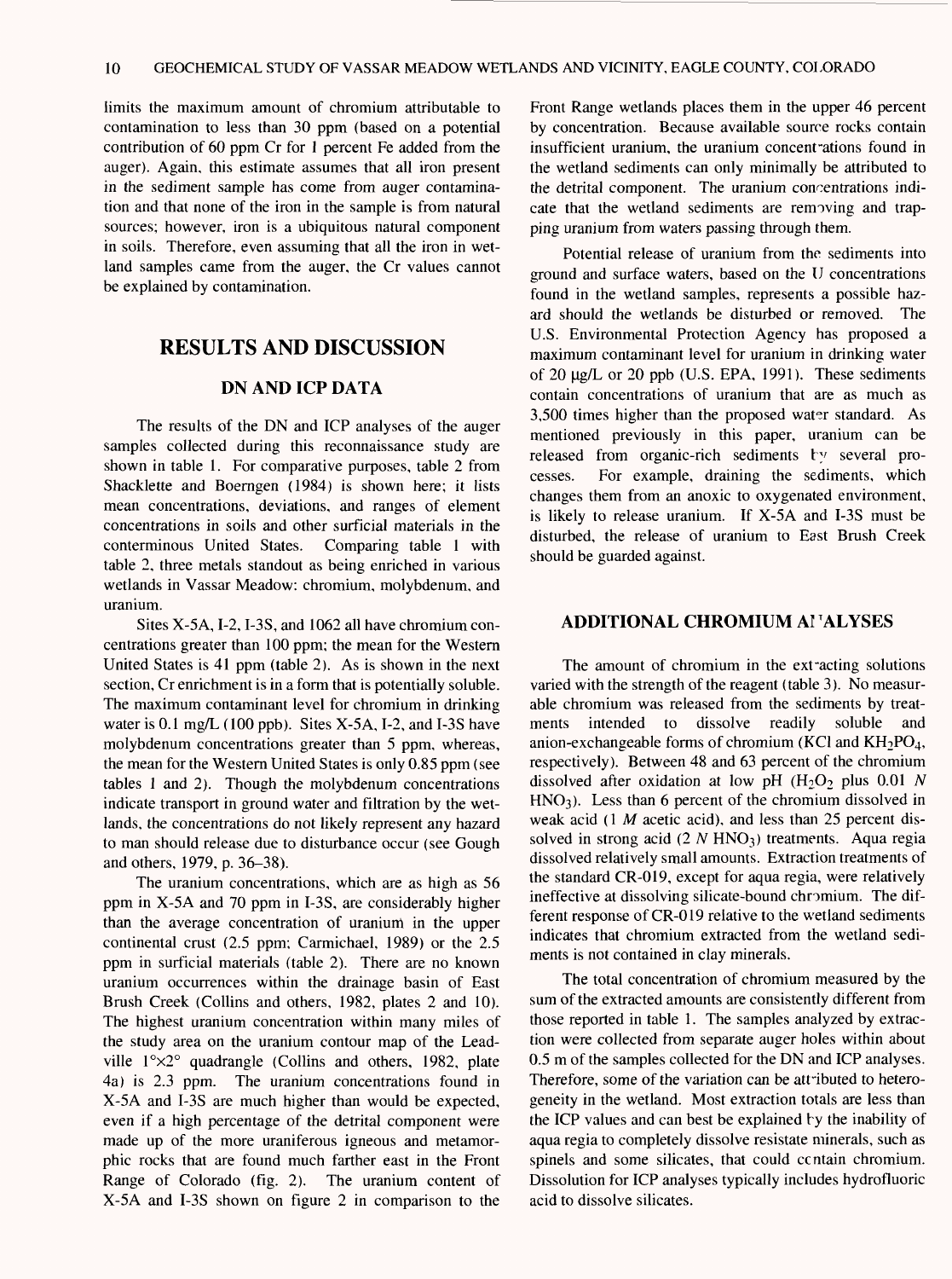limits the maximum amount of chromium attributable to contamination to less than 30 ppm (based on a potential contribution of 60 ppm Cr for 1 percent Fe added from the auger). Again, this estimate assumes that all iron present in the sediment sample has come from auger contamination and that none of the iron in the sample is from natural sources; however, iron is a ubiquitous natural component in soils. Therefore, even assuming that all the iron in wetland samples came from the auger, the Cr values cannot be explained by contamination.

#### **RESULTS AND DISCUSSION**

#### **DN AND ICP DATA**

The results of the DN and ICP analyses of the auger samples collected during this reconnaissance study are shown in table 1. For comparative purposes, table 2 from Shacklette and Boerngen (1984) is shown here; it lists mean concentrations, deviations, and ranges of element concentrations in soils and other surficial materials in the conterminous United States. Comparing table 1 with table 2, three metals standout as being enriched in various wetlands in Vassar Meadow: chromium, molybdenum, and uranium.

Sites X-5A, I-2, I-3S, and 1062 all have chromium concentrations greater than 100 ppm; the mean for the Western United States is 41 ppm (table 2). As is shown in the next section, Cr enrichment is in a form that is potentially soluble. The maximum contaminant level for chromium in drinking water is 0.1 mg/L (100 ppb). Sites X-5A, 1-2, and I-3S have molybdenum concentrations greater than 5 ppm, whereas, the mean for the Western United States is only 0.85 ppm (see tables 1 and 2). Though the molybdenum concentrations indicate transport in ground water and filtration by the wetlands, the concentrations do not likely represent any hazard to man should release due to disturbance occur (see Gough and others, 1979, p. 36-38).

The uranium concentrations, which are as high as 56 ppm in X-5A and 70 ppm in I-3S, are considerably higher than the average concentration of uranium in the upper continental crust (2.5 ppm; Carmichael, 1989) or the 2.5 ppm in surficial materials (table 2). There are no known uranium occurrences within the drainage basin of East Brush Creek (Collins and others, 1982, plates 2 and 10). The highest uranium concentration within many miles of the study area on the uranium contour map of the Leadville  $1^{\circ} \times 2^{\circ}$  quadrangle (Collins and others, 1982, plate 4a) is 2.3 ppm. The uranium concentrations found in X-5A and I-3S are much higher than would be expected, even if a high percentage of the detrital component were made up of the more uraniferous igneous and metamorphic rocks that are found much farther east in the Front Range of Colorado (fig. 2). The uranium content of X-5A and I-3S shown on figure 2 in comparison to the Front Range wetlands places them in the upper 46 percent by concentration. Because available source rocks contain insufficient uranium, the uranium concent ations found in the wetland sediments can only minimally be attributed to the detrital component. The uranium concentrations indicate that the wetland sediments are removing and trapping uranium from waters passing through them.

Potential release of uranium from the sediments into ground and surface waters, based on the U concentrations found in the wetland samples, represents a possible hazard should the wetlands be disturbed or removed. The U.S. Environmental Protection Agency has proposed a maximum contaminant level for uranium in drinking water of 20 ng/L or 20 ppb (U.S. EPA, 1991). These sediments contain concentrations of uranium that are as much as 3,500 times higher than the proposed water standard. As mentioned previously in this paper, uranium can be released from organic-rich sediments by several processes. For example, draining the sediments, which changes them from an anoxic to oxygenated environment, is likely to release uranium. If  $X$ -5A and I-3S must be disturbed, the release of uranium to East Brush Creek should be guarded against.

#### **ADDITIONAL CHROMIUM Al TALYSES**

The amount of chromium in the extracting solutions varied with the strength of the reagent (table 3). No measurable chromium was released from the sediments by treatments intended to dissolve readily soluble and anion-exchangeable forms of chromium (KCl and  $KH_2PO_4$ , respectively). Between 48 and 63 percent of the chromium dissolved after oxidation at low pH  $(H<sub>2</sub>O<sub>2</sub>$  plus 0.01 *N*  $HNO<sub>3</sub>$ ). Less than 6 percent of the chromium dissolved in weak acid (1 *M* acetic acid), and less than 25 percent dissolved in strong acid (2 *N* HNO<sub>3</sub>) treatments. Aqua regia dissolved relatively small amounts. Extraction treatments of the standard CR-019, except for aqua regia, were relatively ineffective at dissolving silicate-bound chromium. The different response of CR-019 relative to the wetland sediments indicates that chromium extracted from the wetland sediments is not contained in clay minerals.

The total concentration of chromium measured by the sum of the extracted amounts are consistently different from those reported in table 1. The samples analyzed by extraction were collected from separate auger holes within about 0.5 m of the samples collected for the DN and ICP analyses. Therefore, some of the variation can be attributed to heterogeneity in the wetland. Most extraction totals are less than the ICP values and can best be explained by the inability of aqua regia to completely dissolve resistate minerals, such as spinels and some silicates, that could ccntain chromium. Dissolution for ICP analyses typically includes hydrofluoric acid to dissolve silicates.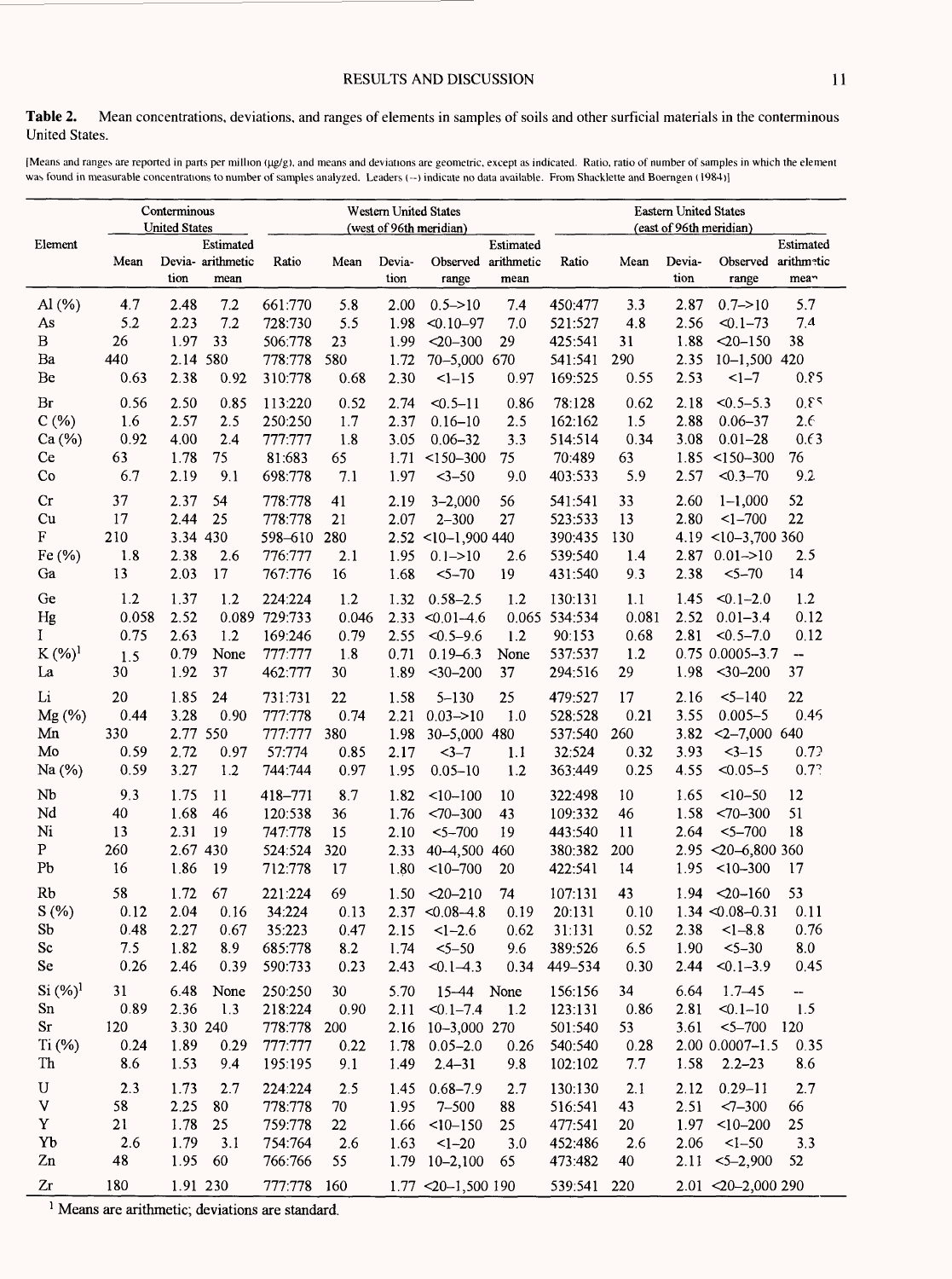**Table** 2. Mean concentrations, deviations, and ranges of elements in samples of soils and other surficial materials in the conterminous United States.

[Means and ranges are reported in parts per million (µg/g), and means and deviations are geometric, except as indicated. Ratio, ratio of number of samples in which the element was found in measurable concentrations to number of samples analyzed. Leaders (--) indicate no data available. From Shacklette and Boerngen (1984)]

| Conterminous<br><b>United States</b> |             |                                                |                    | Western United States<br>(west of 96th meridian) |                |                               |                                 |                    |             | <b>Eastern United States</b><br>(east of 96th meridian) |                                                      |  |  |
|--------------------------------------|-------------|------------------------------------------------|--------------------|--------------------------------------------------|----------------|-------------------------------|---------------------------------|--------------------|-------------|---------------------------------------------------------|------------------------------------------------------|--|--|
| Element                              | Mean        | Estimated<br>Devia- arithmetic<br>tion<br>mean | Ratio              | Mean                                             | Devia-<br>tion | Observed<br>range             | Estimated<br>arithmetic<br>mean | Ratio              | Mean        | Devia-<br>tion                                          | Estimated<br>arithmetic<br>Observed<br>mean<br>range |  |  |
| $\mathrm{Al}\left(\%\right)$         | 4.7<br>5.2  | $7.2\,$<br>2.48<br>2.23<br>7.2                 | 661:770            | 5.8<br>5.5                                       | 2.00           | $0.5 - > 10$                  | 7.4<br>7.0                      | 450:477            | 3.3<br>4.8  | 2.87                                                    | 5.7<br>$0.7 - > 10$<br>7.4                           |  |  |
| As<br>B                              | 26          | 33<br>1.97                                     | 728:730<br>506:778 | 23                                               | 1.98<br>1.99   | $< 0.10 - 97$<br>$< 20 - 300$ | 29                              | 521:527<br>425:541 | 31          | 2.56<br>1.88                                            | $< 0.1 - 73$<br>38<br>$<20-150$                      |  |  |
| $\rm Ba$                             | 440         | 2.14 580                                       | 778:778            | 580                                              | 1.72           | 70-5,000 670                  |                                 | 541:541            | 290         | 2.35                                                    | $10 - 1,500$ 420                                     |  |  |
| Be                                   | 0.63        | 2.38<br>0.92                                   | 310:778            | 0.68                                             | 2.30           | $1 - 15$                      | 0.97                            | 169:525            | 0.55        | 2.53                                                    | 0.85<br>$1 - 7$                                      |  |  |
| Br                                   | 0.56        | 2.50<br>0.85                                   | 113:220            | 0.52                                             | 2.74           | $< 0.5 - 11$                  | 0.86                            | 78:128             | 0.62        | 2.18                                                    | 2.0<br>$< 0.5 - 5.3$                                 |  |  |
| C(%)                                 | 1.6         | 2.57<br>2.5                                    | 250:250            | 1.7                                              | 2.37           | $0.16 - 10$                   | 2.5                             | 162:162            | 1.5         | 2.88                                                    | 2.6<br>$0.06 - 37$                                   |  |  |
| Ca (%)                               | 0.92        | 4.00<br>2.4                                    | 777:777            | 1.8                                              | 3.05           | $0.06 - 32$                   | 3.3                             | 514:514            | 0.34        | 3.08                                                    | 0.63<br>$0.01 - 28$                                  |  |  |
| Ce                                   | 63          | 75<br>1.78                                     | 81:683             | 65                                               | 1.71           | $< 150 - 300$                 | 75                              | 70:489             | 63          | 1.85                                                    | $< 150 - 300$<br>76                                  |  |  |
| Co                                   | 6.7         | 2.19<br>9.1                                    | 698:778            | 7.1                                              | 1.97           | $3 - 50$                      | 9.0                             | 403:533            | 5.9         | 2.57                                                    | 9.2<br>$< 0.3 - 70$                                  |  |  |
| Cr                                   | 37          | 54<br>2.37                                     | 778:778            | 41                                               | 2.19           | $3 - 2,000$                   | 56                              | 541:541            | 33          | 2.60                                                    | 52<br>$1 - 1,000$                                    |  |  |
| Cu                                   | 17          | 2.44<br>25                                     | 778:778            | 21                                               | 2.07           | $2 - 300$                     | 27                              | 523:533            | 13          | 2.80                                                    | 22<br>$<1 - 700$                                     |  |  |
| F                                    | 210         | 3.34 430                                       | 598-610            | 280                                              |                | $2.52$ <10-1,900 440          |                                 | 390:435            | 130         | 4.19                                                    | $<10-3,700360$                                       |  |  |
| Fe (%)                               | 1.8         | 2.38<br>2.6                                    | 776:777            | 2.1                                              | 1.95           | $0.1 - > 10$                  | 2.6                             | 539:540            | 1.4         | 2.87                                                    | $0.01 - > 10$<br>2.5                                 |  |  |
| Ga                                   | 13          | 2.03<br>17                                     | 767:776            | 16                                               | 1.68           | $5 - 70$                      | 19                              | 431:540            | 9.3         | 2.38                                                    | 14<br>$5 - 70$                                       |  |  |
| Ge                                   | 1.2         | 1.37<br>1.2                                    | 224:224            | 1.2                                              | 1.32           | $0.58 - 2.5$                  | 1.2                             | 130:131            | 1.1         | 1.45                                                    | 1.2<br>$< 0.1 - 2.0$                                 |  |  |
| Hg                                   | 0.058       | 2.52<br>0.089                                  | 729:733            | 0.046                                            | 2.33           | $< 0.01 - 4.6$                |                                 | 0.065 534:534      | 0.081       | 2.52                                                    | 0.12<br>$0.01 - 3.4$                                 |  |  |
| $\bf{I}$                             | 0.75        | 2.63<br>1.2<br>None                            | 169:246            | 0.79                                             | 2.55           | $< 0.5 - 9.6$                 | 1.2                             | 90:153             | 0.68        | 2.81                                                    | 0.12<br>$< 0.5 - 7.0$<br>0.75 0.0005-3.7             |  |  |
| $K (\%)^1$<br>La                     | 1.5<br>30   | 0.79<br>1.92<br>37                             | 777:777<br>462:777 | 1.8<br>30                                        | 0.71<br>1.89   | $0.19 - 6.3$<br>$30-200$      | None<br>37                      | 537.537<br>294:516 | 1.2<br>29   | 1.98                                                    | --<br>37<br>$<$ 30-200                               |  |  |
|                                      |             |                                                |                    |                                                  |                |                               |                                 |                    |             |                                                         |                                                      |  |  |
| Li                                   | 20          | 1.85<br>24                                     | 731:731            | 22                                               | 1.58           | $5 - 130$                     | 25                              | 479:527            | 17          | 2.16                                                    | 22<br>$5 - 140$                                      |  |  |
| Mg (%)<br>Mn                         | 0.44<br>330 | 3.28<br>0.90<br>2.77 550                       | 777:778<br>777:777 | 0.74<br>380                                      | 2.21           | $0.03 = 10$<br>30-5,000 480   | 1.0                             | 528:528<br>537:540 | 0.21<br>260 | 3.55<br>3.82                                            | $0.005 - 5$<br>0.45<br>$<2 - 7,000$ 640              |  |  |
| Mo                                   | 0.59        | 2.72<br>0.97                                   | 57:774             | 0.85                                             | 1.98<br>2.17   | $3 - 7$                       | 1.1                             | 32:524             | 0.32        | 3.93                                                    | 0.72<br>$3 - 15$                                     |  |  |
| Na (%)                               | 0.59        | 3.27<br>1.2                                    | 744:744            | 0.97                                             | 1.95           | $0.05 - 10$                   | 1.2                             | 363:449            | 0.25        | 4.55                                                    | 0.7?<br>$< 0.05 - 5$                                 |  |  |
| Nb                                   | 9.3         | 1.75<br>11                                     | 418-771            | 8.7                                              | 1.82           | $10 - 100$                    | 10                              | 322:498            | 10          | 1.65                                                    | $<10-50$<br>12                                       |  |  |
| Nd                                   | 40          | 1.68<br>46                                     | 120:538            | 36                                               | 1.76           | $<70 - 300$                   | 43                              | 109:332            | 46          | 1.58                                                    | 51<br>$<70 - 300$                                    |  |  |
| Ni                                   | 13          | 2.31<br>19                                     | 747:778            | 15                                               | 2.10           | $5 - 700$                     | 19                              | 443:540            | 11          | 2.64                                                    | 18<br>$5 - 700$                                      |  |  |
| $\mathbf{P}$                         | 260         | 2.67 430                                       | 524:524            | 320                                              | 2.33           | 40-4,500                      | 460                             | 380:382            | 200         | 2.95                                                    | $\leq 20 - 6,800360$                                 |  |  |
| Pb                                   | 16          | 1.86<br>19                                     | 712:778            | 17                                               | 1.80           | $10 - 700$                    | 20                              | 422:541            | 14          | 1.95                                                    | $<10-300$<br>17                                      |  |  |
| Rb                                   | 58          | 1.72<br>67                                     | 221:224            | 69                                               | 1.50           | $<20 - 210$                   | 74                              | 107:131            | 43          | 1.94                                                    | 53<br>$20 - 160$                                     |  |  |
| S(%)                                 | 0.12        | 2.04<br>0.16                                   | 34:224             | 0.13                                             | 2.37           | $< 0.08 - 4.8$                | 0.19                            | 20:131             | 0.10        |                                                         | 0.11<br>$1.34 \le 0.08 - 0.31$                       |  |  |
| Sb                                   | 0.48        | 2.27<br>0.67                                   | 35:223             | 0.47                                             | 2.15           | $<1 - 2.6$                    | 0.62                            | 31:131             | 0.52        | 2.38                                                    | $<1 - 8.8$<br>0.76                                   |  |  |
| Sc                                   | 7.5         | 1.82<br>8.9                                    | 685:778            | 8.2                                              | 1.74           | $5 - 50$                      | 9.6                             | 389:526            | 6.5         | 1.90                                                    | $5 - 30$<br>8.0                                      |  |  |
| Se                                   | 0.26        | 2.46<br>0.39                                   | 590:733            | 0.23                                             | 2.43           | $< 0.1 - 4.3$                 | 0.34                            | 449-534            | 0.30        | 2.44                                                    | 0.45<br>$< 0.1 - 3.9$                                |  |  |
| Si (%) <sup>1</sup>                  | 31          | 6.48<br>None                                   | 250:250            | 30                                               | 5.70           | 15-44 None                    |                                 | 156:156            | 34          | 6.64                                                    | $1.7 - 45$<br>--                                     |  |  |
| Sn                                   | 0.89        | 2.36<br>1.3                                    | 218:224            | 0.90                                             | 2.11           | $< 0.1 - 7.4$                 | 1.2                             | 123:131            | 0.86        | 2.81                                                    | 1.5<br>$< 0.1 - 10$                                  |  |  |
| Sr                                   | 120         | 3.30 240                                       | 778:778            | 200                                              |                | 2.16 10-3,000 270             |                                 | 501:540            | 53          | 3.61                                                    | $<$ 5–700<br>120                                     |  |  |
| Ti (%)                               | 0.24        | 1.89<br>0.29                                   | 777:777            | 0.22                                             |                | $1.78$ 0.05-2.0               | 0.26                            | 540:540            | 0.28        |                                                         | $2.00$ 0.0007-1.5<br>0.35                            |  |  |
| Th                                   | 8.6         | 1.53<br>9.4                                    | 195:195            | 9.1                                              | 1.49           | $2.4 - 31$                    | 9.8                             | 102.102            | 7.7         | 1.58                                                    | 8.6<br>$2.2 - 23$                                    |  |  |
| U                                    | 2.3         | 1.73<br>2.7                                    | 224:224            | 2.5                                              | 1.45           | $0.68 - 7.9$                  | 2.7                             | 130:130            | 2.1         | 2.12                                                    | $0.29 - 11$<br>2.7                                   |  |  |
| V<br>Y                               | 58<br>21    | 2.25<br>80<br>1.78<br>25                       | 778:778            | 70                                               | 1.95           | $7 - 500$                     | 88                              | 516:541            | 43          | 2.51<br>1.97                                            | $2 - 300$<br>66<br>25<br>$10 - 200$                  |  |  |
| Yb                                   | 2.6         | 1.79<br>3.1                                    | 759:778<br>754:764 | 22<br>2.6                                        | 1.66<br>1.63   | $10 - 150$<br>$1 - 20$        | 25<br>3.0                       | 477:541<br>452:486 | 20<br>2.6   | 2.06                                                    | $1 - 50$<br>3.3                                      |  |  |
| Zn                                   | 48          | 1.95<br>60                                     | 766:766            | 55                                               |                | $1.79$ 10-2,100               | 65                              | 473:482            | 40          | 2.11                                                    | $<5-2,900$<br>52                                     |  |  |
| Zr                                   | 180         | 1.91 230                                       | 777:778            | 160                                              |                | $1.77$ < 20 - 1,500 190       |                                 | 539:541            | 220         |                                                         | $2.01 \le 20 - 2,000290$                             |  |  |

<sup>1</sup> Means are arithmetic; deviations are standard.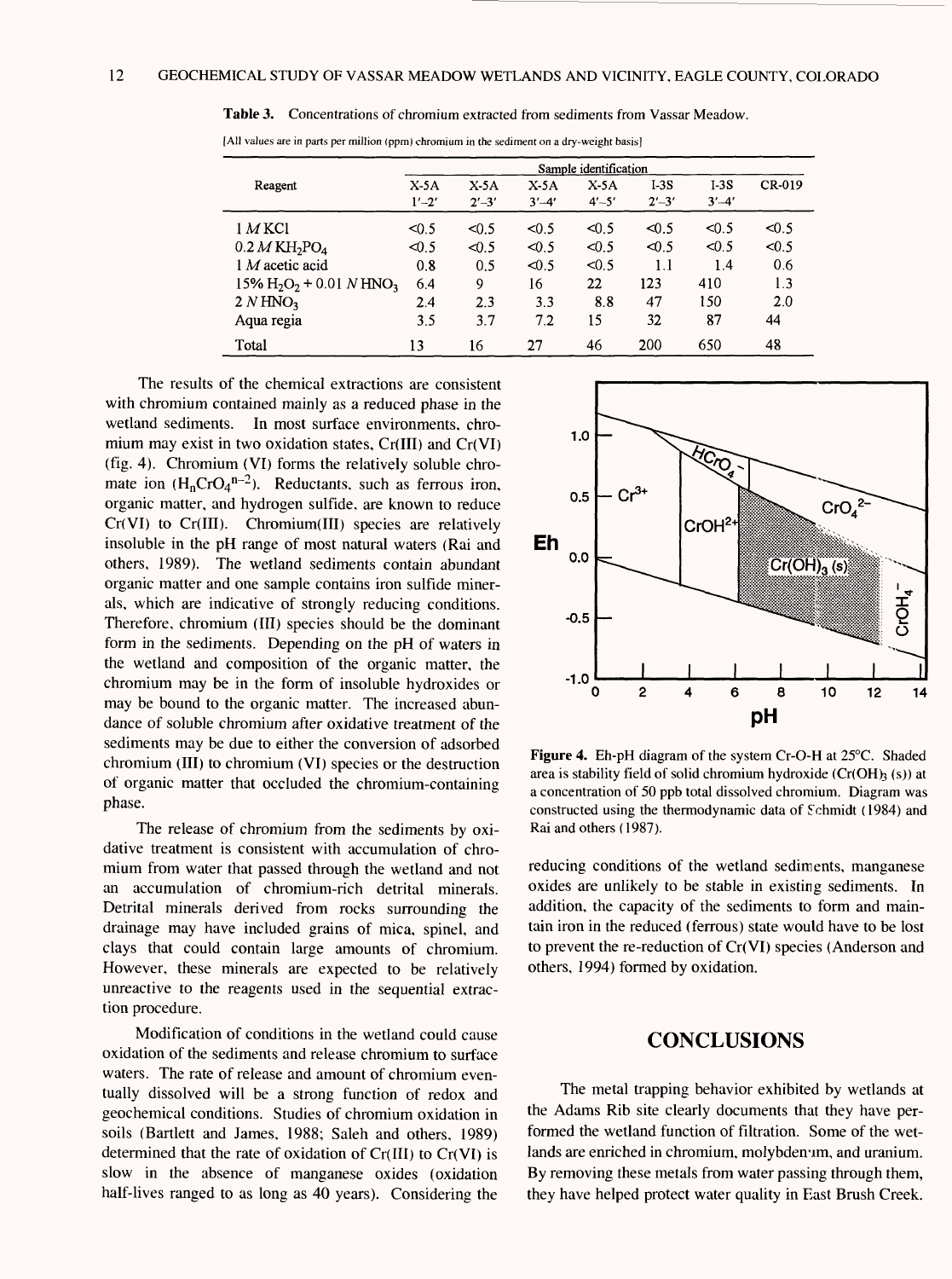|                                                                | Sample identification |                     |                     |                     |                     |                     |               |  |  |  |  |
|----------------------------------------------------------------|-----------------------|---------------------|---------------------|---------------------|---------------------|---------------------|---------------|--|--|--|--|
| Reagent                                                        | X.5A<br>$1' - 2'$     | $X-5A$<br>$2' - 3'$ | $X-5A$<br>$3' - 4'$ | $X-5A$<br>$4' - 5'$ | $I-3S$<br>$2' - 3'$ | $I-3S$<br>$3' - 4'$ | <b>CR-019</b> |  |  |  |  |
| $1$ M KCl                                                      | < 0.5                 | < 0.5               | < 0.5               | <0.5                | < 0.5               | < 0.5               | < 0.5         |  |  |  |  |
| $0.2 M K H_2$ PO <sub>4</sub>                                  | 40.5                  | $\leq 0.5$          | < 0.5               | < 0.5               | 40.5                | < 0.5               | < 0.5         |  |  |  |  |
| $1 M$ acetic acid                                              | 0.8                   | 0.5                 | < 0.5               | < 0.5               | 1.1                 | 1.4                 | 0.6           |  |  |  |  |
| $15\%$ H <sub>2</sub> O <sub>2</sub> + 0.01 N HNO <sub>3</sub> | 6.4                   | 9                   | 16                  | 22                  | 123                 | 410                 | 1.3           |  |  |  |  |
| 2 N HNO <sub>3</sub>                                           | 2.4                   | 2.3                 | 3.3                 | 8.8                 | 47                  | 150                 | 2.0           |  |  |  |  |
| Aqua regia                                                     | 3.5                   | 3.7                 | 7.2                 | 15                  | 32                  | 87                  | 44            |  |  |  |  |
| Total                                                          | 13                    | 16                  | 27                  | 46                  | 200                 | 650                 | 48            |  |  |  |  |

**Table 3.** Concentrations of chromium extracted from sediments from Vassar Meadow.

[All values are in parts per million (ppm) chromium in the sediment on a dry-weight basis]

The results of the chemical extractions are consistent with chromium contained mainly as a reduced phase in the wetland sediments. In most surface environments, chromium may exist in two oxidation states, Cr(III) and Cr(VI) (fig. 4). Chromium (VI) forms the relatively soluble chromate ion  $(H_nCrO_4^{n-2})$ . Reductants, such as ferrous iron, organic matter, and hydrogen sulfide, are known to reduce Cr(VI) to Cr(III). Chromium(III) species are relatively insoluble in the pH range of most natural waters (Rai and others, 1989). The wetland sediments contain abundant organic matter and one sample contains iron sulfide minerals, which are indicative of strongly reducing conditions. Therefore, chromium (III) species should be the dominant form in the sediments. Depending on the pH of waters in the wetland and composition of the organic matter, the chromium may be in the form of insoluble hydroxides or may be bound to the organic matter. The increased abundance of soluble chromium after oxidative treatment of the sediments may be due to either the conversion of adsorbed chromium (III) to chromium (VI) species or the destruction of organic matter that occluded the chromium-containing phase.

The release of chromium from the sediments by oxidative treatment is consistent with accumulation of chromium from water that passed through the wetland and not an accumulation of chromium-rich detrital minerals. Detrital minerals derived from rocks surrounding the drainage may have included grains of mica, spinel, and clays that could contain large amounts of chromium. However, these minerals are expected to be relatively unreactive to the reagents used in the sequential extraction procedure.

Modification of conditions in the wetland could cause oxidation of the sediments and release chromium to surface waters. The rate of release and amount of chromium eventually dissolved will be a strong function of redox and geochemical conditions. Studies of chromium oxidation in soils (Bartlett and James, 1988; Saleh and others, 1989) determined that the rate of oxidation of  $Cr(III)$  to  $Cr(VI)$  is slow in the absence of manganese oxides (oxidation half-lives ranged to as long as 40 years). Considering the



**Figure 4.** Eh-pH diagram of the system Cr-O-H at 25°C. Shaded area is stability field of solid chromium hydroxide  $(Cr(OH)_3(s))$  at a concentration of 50 ppb total dissolved chromium. Diagram was constructed using the thermodynamic data of Schmidt (1984) and Rai and others (1987).

reducing conditions of the wetland sediments, manganese oxides are unlikely to be stable in existing sediments. In addition, the capacity of the sediments to form and maintain iron in the reduced (ferrous) state would have to be lost to prevent the re-reduction of Cr(VI) species (Anderson and others, 1994) formed by oxidation.

#### **CONCLUSIONS**

The metal trapping behavior exhibited by wetlands at the Adams Rib site clearly documents that they have performed the wetland function of filtration. Some of the wetlands are enriched in chromium, molybdenum, and uranium. By removing these metals from water passing through them, they have helped protect water quality in East Brush Creek.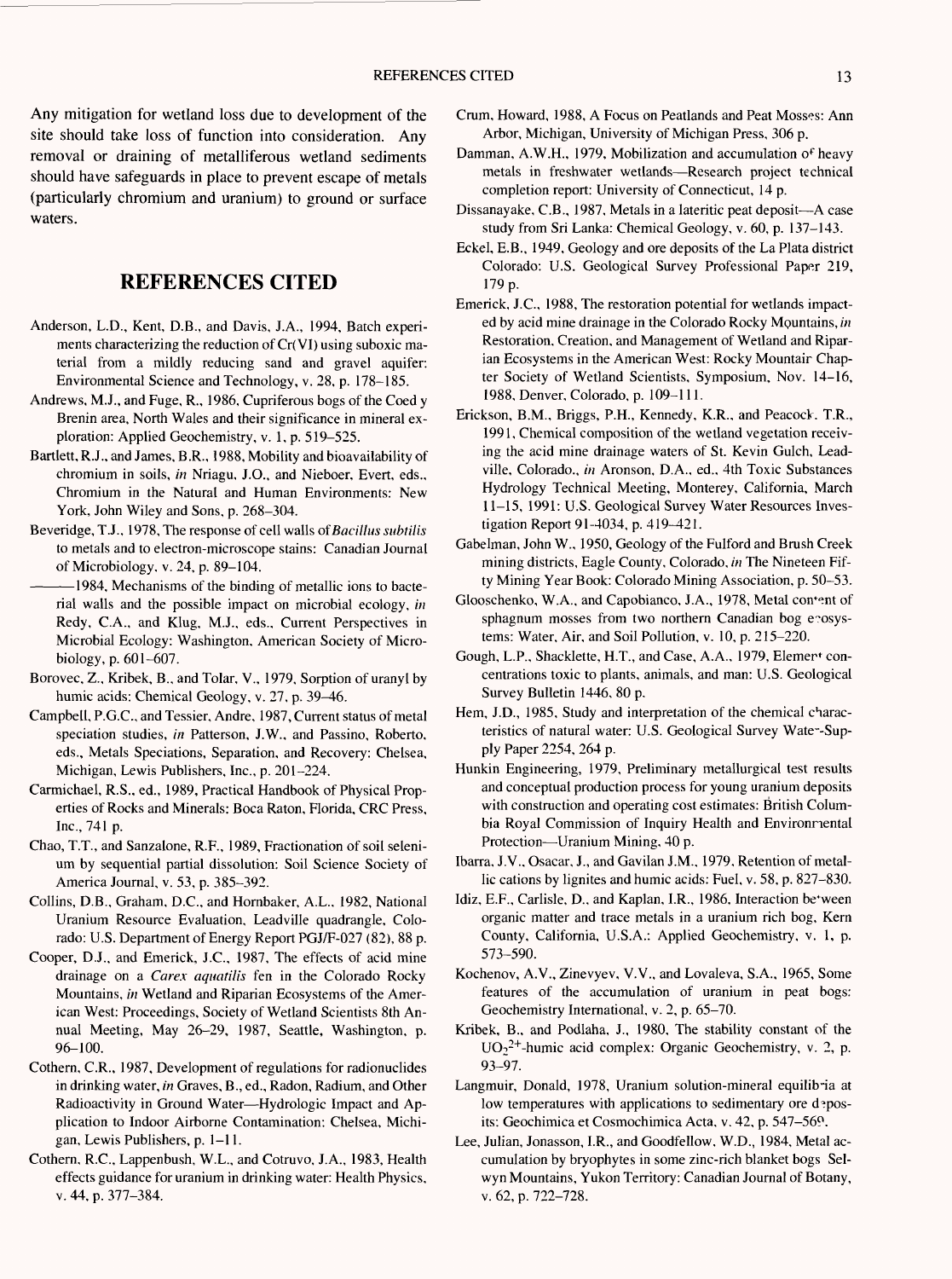Any mitigation for wetland loss due to development of the site should take loss of function into consideration. Any removal or draining of metalliferous wetland sediments should have safeguards in place to prevent escape of metals (particularly chromium and uranium) to ground or surface waters.

#### **REFERENCES CITED**

- Anderson, L.D., Kent, D.B., and Davis, J.A., 1994, Batch experiments characterizing the reduction of Cr(VI) using suboxic material from a mildly reducing sand and gravel aquifer: Environmental Science and Technology, v. 28, p. 178-185.
- Andrews, M.J., and Fuge, R., 1986, Cupriferous bogs of the Coed y Brenin area. North Wales and their significance in mineral exploration: Applied Geochemistry, v. 1, p. 519-525.
- Bartlett, R.J., and James, B.R., 1988, Mobility and bioavailability of chromium in soils, *in* Nriagu, J.O., and Nieboer, Evert, eds.. Chromium in the Natural and Human Environments: New York, John Wiley and Sons, p. 268-304.
- Beveridge, T.J., 1978, The response of cell walls *of Bacillus subtilis*  to metals and to electron-microscope stains: Canadian Journal of Microbiology, v. 24, p. 89-104.
- 1984, Mechanisms of the binding of metallic ions to bacterial walls and the possible impact on microbial ecology, *in*  Redy, C.A., and Klug, M.J., eds.. Current Perspectives in Microbial Ecology: Washington, American Society of Microbiology, p. 601-607.
- Borovec, Z., Kribek, B., and Tolar, V., 1979, Sorption of uranyl by humic acids: Chemical Geology, v. 27, p. 39-46.
- Campbell, P.G.C., and Tessier, Andre, 1987, Current status of metal speciation studies, *in* Patterson, J.W., and Passino, Roberto, eds.. Metals Speciations, Separation, and Recovery: Chelsea, Michigan, Lewis Publishers, Inc., p. 201-224.
- Carmichael, R.S., ed., 1989, Practical Handbook of Physical Properties of Rocks and Minerals: Boca Raton, Florida, CRC Press, Inc., 741 p.
- Chao, T.T., and Sanzalone, R.F., 1989, Fractionation of soil selenium by sequential partial dissolution: Soil Science Society of America Journal, v. 53, p. 385-392.
- Collins, D.B., Graham, B.C., and Hornbaker, A.L., 1982, National Uranium Resource Evaluation, Leadville quadrangle, Colorado: U.S. Department of Energy Report PGJ/F-027 (82), 88 p.
- Cooper, D.J., and Emerick, J.C., 1987, The effects of acid mine drainage on a *Carex aquatilis* fen in the Colorado Rocky Mountains, *in* Wetland and Riparian Ecosystems of the American West: Proceedings, Society of Wetland Scientists 8th Annual Meeting, May 26-29, 1987, Seattle, Washington, p. 96-100.
- Cothern, C.R., 1987, Development of regulations for radionuclides in drinking water, *in* Graves, B., ed.. Radon, Radium, and Other Radioactivity in Ground Water-Hydrologic Impact and Application to Indoor Airborne Contamination: Chelsea, Michigan, Lewis Publishers, p. 1-11.
- Cothern, R.C., Lappenbush, W.L., and Cotruvo, J.A., 1983, Health effects guidance for uranium in drinking water: Health Physics, v. 44, p. 377-384.
- Crum, Howard, 1988, A Focus on Peatlands and Peat Mosses: Ann Arbor, Michigan, University of Michigan Press, 306 p.
- Damman, A.W.H., 1979, Mobilization and accumulation of heavy metals in freshwater wetlands-Research project technical completion report: University of Connecticut, 14 p.
- Dissanayake, C.B., 1987, Metals in a lateritic peat deposit—A case study from Sri Lanka: Chemical Geology, v. 60, p. 137-143.
- Eckel, E.B., 1949, Geology and ore deposits of the La Plata district Colorado: U.S. Geological Survey Professional Paper 219, 179 p.
- Emerick, J.C., 1988, The restoration potential for wetlands impacted by acid mine drainage in the Colorado Rocky Mountains, *in*  Restoration, Creation, and Management of Wetland and Riparian Ecosystems in the American West: Rocky Mountair Chapter Society of Wetland Scientists, Symposium, Nov. 14-16, 1988, Denver, Colorado, p. 109-111.
- Erickson, B.M., Briggs, P.H., Kennedy, K.R., and Peacock. T.R., 1991, Chemical composition of the wetland vegetation receiving the acid mine drainage waters of St. Kevin Gulch, Leadville, Colorado., *in* Aronson, D.A., ed., 4th Toxic Substances Hydrology Technical Meeting, Monterey, California, March 11-15, 1991: U.S. Geological Survey Water Resources Investigation Report 91-4034, p. 419-421.
- Gabelman, John W., 1950, Geology of the Fulford and Brush Creek mining districts, Eagle County, Colorado, *in* The Nineteen Fifty Mining Year Book: Colorado Mining Association, p. 50-53.
- Glooschenko, W.A., and Capobianco, J.A., 1978, Metal content of sphagnum mosses from two northern Canadian bog exosystems: Water, Air, and Soil Pollution, v. 10, p. 215-220.
- Gough, L.P., Shacklette, H.T., and Case, A.A., 1979, Elemer<sup>t</sup> concentrations toxic to plants, animals, and man: U.S. Geological Survey Bulletin 1446, 80 p.
- Hem, J.D., 1985, Study and interpretation of the chemical characteristics of natural water: U.S. Geological Survey Wate~-Supply Paper 2254, 264 p.
- Hunkin Engineering, 1979, Preliminary metallurgical test results and conceptual production process for young uranium deposits with construction and operating cost estimates: British Columbia Royal Commission of Inquiry Health and Environmental Protection-Uranium Mining, 40 p.
- Ibarra, J.V., Osacar, J., and Gavilan J.M., 1979, Retention of metallic cations by lignites and humic acids: Fuel, v. 58, p. 827-830.
- Idiz, E.F., Carlisle, D., and Kaplan, I.R., 1986, Interaction be\*ween organic matter and trace metals in a uranium rich bog. Kern County, California, U.S.A.: Applied Geochemistry, v. 1, p. 573-590.
- Kochenov, A.V., Zinevyev, V.V., and Lovaleva, S.A., 1965, Some features of the accumulation of uranium in peat bogs: Geochemistry International, v. 2, p. 65-70.
- Kribek, B., and Podlaha, J., 1980, The stability constant of the  $UO_2^{2+}$ -humic acid complex: Organic Geochemistry, v. 2, p. 93-97.
- Langmuir, Donald, 1978, Uranium solution-mineral equilib-ia at low temperatures with applications to sedimentary ore deposits: Geochimica et Cosmochimica Acta, v. 42, p. 547-569.
- Lee, Julian, Jonasson, I.R., and Goodfellow, W.D., 1984, Metal accumulation by bryophytes in some zinc-rich blanket bogs Selwyn Mountains, Yukon Territory: Canadian Journal of Botany, v. 62, p. 722-728.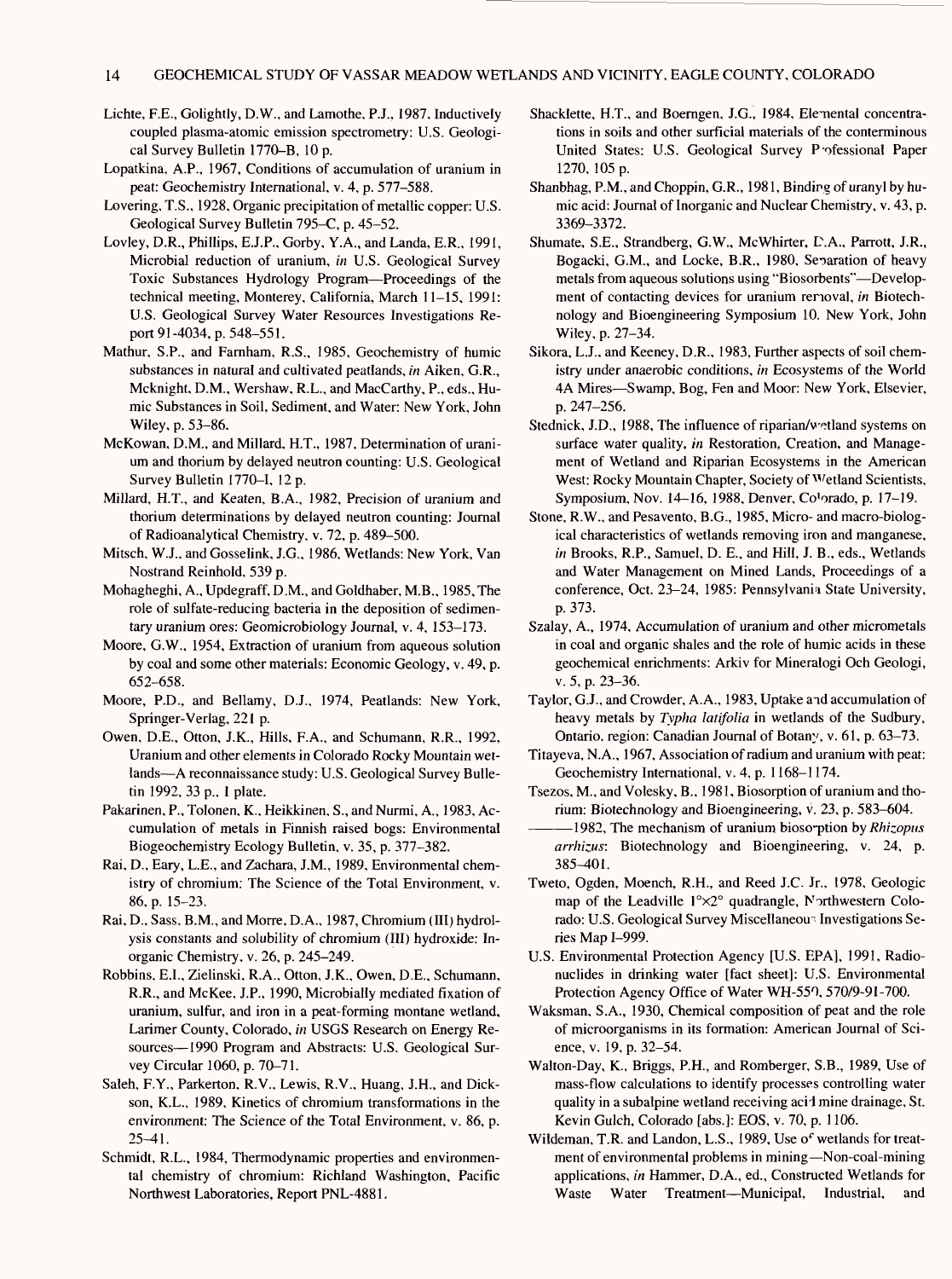- Lichte, F.E., Golightly, D.W., and Lamothe, P.J., 1987, Inductively coupled plasma-atomic emission spectrometry: U.S. Geological Survey Bulletin 1770-B, 10 p.
- Lopatkina, A.P., 1967, Conditions of accumulation of uranium in peat: Geochemistry International, v. 4, p. 577-588.
- Lovering, T.S., 1928, Organic precipitation of metallic copper: U.S. Geological Survey Bulletin 795-C, p. 45-52.
- Lovley, D.R., Phillips, E.J.P., Gorby, Y.A., and Landa, E.R., 1991, Microbial reduction of uranium, *in* U.S. Geological Survey Toxic Substances Hydrology Program-Proceedings of the technical meeting, Monterey, California, March 11-15, 1991: U.S. Geological Survey Water Resources Investigations Report 91-4034, p. 548-551.
- Mathur, S.P., and Farnham, R.S., 1985, Geochemistry of humic substances in natural and cultivated peatlands, *in* Aiken, G.R., Mcknight, D.M., Wershaw, R.L., and MacCarthy, P., eds., Humic Substances in Soil, Sediment, and Water: New York, John Wiley, p. 53-86.
- McKowan, D.M., and Millard, H.T., 1987, Determination of uranium and thorium by delayed neutron counting: U.S. Geological Survey Bulletin 1770-1, 12 p.
- Millard, H.T., and Keaten, B.A., 1982, Precision of uranium and thorium determinations by delayed neutron counting: Journal of Radioanalytical Chemistry, v. 72, p. 489-500.
- Mitsch, W.J., and Gosselink, J.G., 1986, Wetlands: New York, Van Nostrand Reinhold, 539 p.
- Mohagheghi, A., Updegraff, D.M., and Goldhaber, M.B., 1985, The role of sulfate-reducing bacteria in the deposition of sedimentary uranium ores: Geomicrobiology Journal, v. 4, 153-173.
- Moore, G.W., 1954, Extraction of uranium from aqueous solution by coal and some other materials: Economic Geology, v. 49, p. 652-658.
- Moore, P.O., and Bellamy, D.J., 1974, Peatlands: New York, Springer-Verlag, 221 p.
- Owen, D.E., Otton, J.K., Hills, F.A., and Schumann, R.R., 1992, Uranium and other elements in Colorado Rocky Mountain wetlands—A reconnaissance study: U.S. Geological Survey Bulletin 1992, 33 p., 1 plate.
- Pakarinen, P., Tolonen, K., Heikkinen, S., and Nurmi, A., 1983, Accumulation of metals in Finnish raised bogs: Environmental Biogeochemistry Ecology Bulletin, v. 35, p. 377-382.
- Rai, D., Eary, L.E., and Zachara, J.M., 1989, Environmental chemistry of chromium: The Science of the Total Environment, v. 86, p. 15-23.
- Rai, D., Sass, B.M., and Morre, D.A., 1987, Chromium (III) hydrolysis constants and solubility of chromium (III) hydroxide: Inorganic Chemistry, v. 26, p. 245-249.
- Robbins, E.I., Zielinski, R.A., Otton, J.K., Owen, D.E., Schumann, R.R., and McKee, J.P., 1990, Microbially mediated fixation of uranium, sulfur, and iron in a peat-forming montane wetland, Larimer County, Colorado, *in* USGS Research on Energy Resources—1990 Program and Abstracts: U.S. Geological Survey Circular 1060, p. 70-71.
- Saleh, F.Y., Parkerton, R.V., Lewis, R.V., Huang, J.H., and Dickson, K.L., 1989, Kinetics of chromium transformations in the environment: The Science of the Total Environment, v. 86, p. 25-41.
- Schmidt, R.L., 1984, Thermodynamic properties and environmental chemistry of chromium: Richland Washington, Pacific Northwest Laboratories, Report PNL-4881.
- Shacklette, H.T., and Boerngen, J.G., 1984, Elemental concentrations in soils and other surficial materials of the conterminous United States: U.S. Geological Survey P-ofessional Paper 1270, 105 p.
- Shanbhag, P.M., and Choppin, G.R., 1981, Binding of uranyl by humic acid: Journal of Inorganic and Nuclear Chemistry, v. 43, p. 3369-3372.
- Shumate, S.E., Strandberg, G.W., McWhirter, E>.A., Parrott, J.R., Bogacki, G.M., and Locke, B.R., 1980, Separation of heavy metals from aqueous solutions using "Biosorbents"—Development of contacting devices for uranium removal, *in* Biotechnology and Bioengineering Symposium 10. New York, John Wiley, p. 27-34.
- Sikora, L.J., and Keeney, D.R., 1983, Further aspects of soil chemistry under anaerobic conditions, *in* Ecosystems of the World 4A Mires—Swamp, Bog, Fen and Moor: New York, Elsevier, p. 247-256.
- Stednick, J.D., 1988, The influence of riparian/wetland systems on surface water quality, *in* Restoration, Creation, and Management of Wetland and Riparian Ecosystems in the American West: Rocky Mountain Chapter, Society of Wetland Scientists, Symposium, Nov. 14-16, 1988, Denver, Co'orado, p. 17-19.
- Stone, R.W., and Pesavento, B.G., 1985, Micro- and macro-biological characteristics of wetlands removing iron and manganese, *in* Brooks, R.P., Samuel, D. E., and Hill, J. B., eds., Wetlands and Water Management on Mined Lands, Proceedings of a conference, Oct. 23-24, 1985: Pennsylvania State University, p. 373.
- Szalay, A., 1974, Accumulation of uranium and other micrometals in coal and organic shales and the role of humic acids in these geochemical enrichments: Arkiv for Mineralogi Och Geologi, v. 5, p. 23-36.
- Taylor, G.J., and Crowder, A.A., 1983, Uptake and accumulation of heavy metals by *Typha latifolia* in wetlands of the Sudbury, Ontario, region: Canadian Journal of Botany, v. 61, p. 63-73.
- Titayeva, N.A., 1967, Association of radium and uranium with peat: Geochemistry International, v. 4, p. 1168-1174.
- Tsezos, M., and Volesky, B., 1981, Biosorption of uranium and thorium: Biotechnology and Bioengineering, v. 23, p. 583-604.
- 1982, The mechanism of uranium bioso'ption by *Rhizopus arrhizus:* Biotechnology and Bioengineering, v. 24, p. 385-401.
- Tweto, Ogden, Moench, R.H., and Reed J.C. Jr., 1978, Geologic map of the Leadville  $1^{\circ} \times 2^{\circ}$  quadrangle, Northwestern Colorado: U.S. Geological Survey Miscellaneous Investigations Series Map 1-999.
- U.S. Environmental Protection Agency [U.S. EPA], 1991, Radionuclides in drinking water [fact sheet]: U.S. Environmental Protection Agency Office of Water WH-550, 570/9-91-700.
- Waksman, S.A., 1930, Chemical composition of peat and the role of microorganisms in its formation: American Journal of Science, v. 19, p. 32-54.
- Walton-Day, K., Briggs, P.H., and Romberger, S.B., 1989, Use of mass-flow calculations to identify processes controlling water quality in a subalpine wetland receiving acid mine drainage, St. Kevin Gulch, Colorado [abs.]: EOS, v. 70, p. 1106.
- Wildeman, T.R. and Landon, L.S., 1989, Use *of* wetlands for treatment of environmental problems in mining—Non-coal-mining applications, *in* Hammer, D.A., ed., Constructed Wetlands for Waste Water Treatment—Municipal, Industrial, and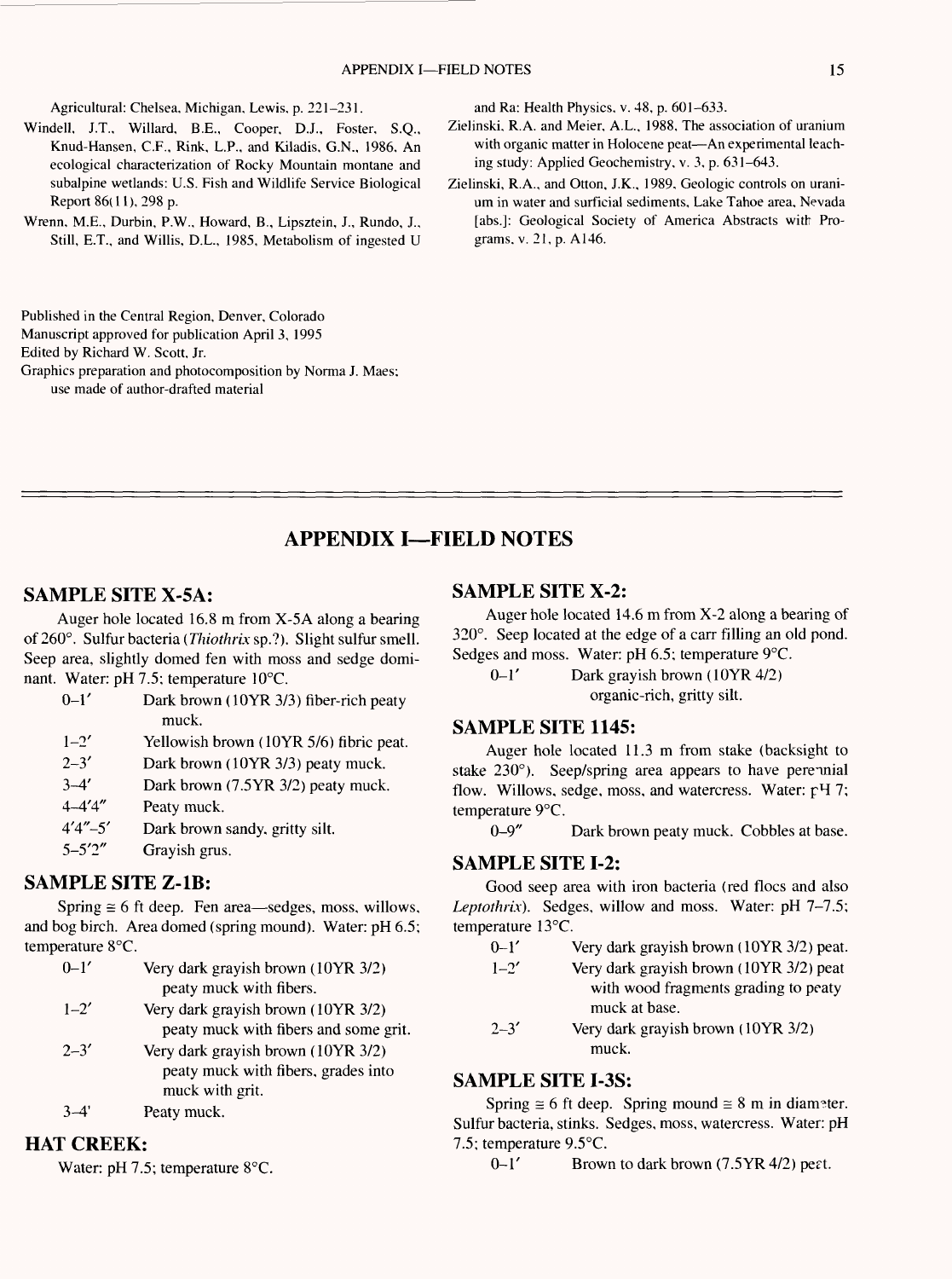Agricultural: Chelsea, Michigan, Lewis, p. 221-231.

- Windell, J.T., Willard, B.E., Cooper, D.J., Foster, S.Q., Knud-Hansen, C.F., Rink, L.P., and Kiladis, G.N., 1986, An ecological characterization of Rocky Mountain montane and subalpine wetlands: U.S. Fish and Wildlife Service Biological Report 86(11), 298 p.
- Wrenn, M.E., Durbin, P.W., Howard, B., Lipsztein, J., Rundo, J., Still, E.T., and Willis, D.L., 1985, Metabolism of ingested U

Published in the Central Region, Denver, Colorado

Manuscript approved for publication April 3, 1995

Edited by Richard W. Scott, Jr.

Graphics preparation and photocomposition by Norma J. Maes; use made of author-drafted material

and Ra: Health Physics, v. 48, p. 601-633.

- Zielinski, R.A. and Meier, A.L., 1988, The association of uranium with organic matter in Holocene peat-An experimental leaching study: Applied Geochemistry, v. 3, p. 631-643.
- Zielinski, R.A., and Otton, J.K., 1989, Geologic controls on uranium in water and surficial sediments. Lake Tahoe area, Nevada [abs.]: Geological Society of America Abstracts with Programs, v. 21, p. A146.

### **APPENDIX I-FIELD NOTES**

#### **SAMPLE SITE X-5A:**

Auger hole located 16.8 m from X-5A along a bearing of 260°. Sulfur bacteria *(Thiothrix* sp.?). Slight sulfur smell. Seep area, slightly domed fen with moss and sedge dominant. Water: pH 7.5; temperature 10°C.

| $0 - 1'$    | Dark brown (10YR 3/3) fiber-rich peaty  |
|-------------|-----------------------------------------|
|             | muck.                                   |
| $1 - 2'$    | Yellowish brown (10YR 5/6) fibric peat. |
| $2 - 3'$    | Dark brown (10YR 3/3) peaty muck.       |
| $3 - 4'$    | Dark brown (7.5YR 3/2) peaty muck.      |
| $4 - 4'4''$ | Peaty muck.                             |
| $4'4''-5'$  | Dark brown sandy, gritty silt.          |
| $5 - 5'2''$ | Grayish grus.                           |
|             |                                         |

#### SAMPLE SITE Z-1B:

Spring  $\equiv$  6 ft deep. Fen area—sedges, moss, willows, and bog birch. Area domed (spring mound). Water: pH 6.5; temperature 8°C.

0-1' Very dark grayish brown (10YR 3/2) peaty muck with fibers. 1-2' Very dark grayish brown (1OYR 3/2) peaty muck with fibers and some grit.  $2-3'$  Very dark grayish brown (10YR 3/2) peaty muck with fibers, grades into muck with grit. 3-4' Peaty muck.

HAT CREEK:

Water: pH 7.5; temperature 8°C.

#### SAMPLE SITE **X-2:**

Auger hole located 14.6 m from X-2 along a bearing of 320°. Seep located at the edge of a carr filling an old pond. Sedges and moss. Water: pH 6.5; temperature 9°C.

 $0-1'$  Dark grayish brown (10YR 4/2) organic-rich, gritty silt.

#### SAMPLE SITE 1145:

Auger hole located 11.3 m from stake (backsight to stake 230°). Seep/spring area appears to have perennial flow. Willows, sedge, moss, and watercress. Water: pH 7; temperature 9°C.

0-9" Dark brown peaty muck. Cobbles at base.

#### SAMPLE SITE 1-2:

Good seep area with iron bacteria (red flocs and also Leptothrix). Sedges, willow and moss. Water: pH 7-7.5; temperature 13°C.

- $0-1'$  Very dark grayish brown (10YR 3/2) peat.
- 1-2' Very dark grayish brown (10YR 3/2) peat with wood fragments grading to peaty muck at base.
- 2-3' Very dark grayish brown (10YR 3/2) muck.

#### SAMPLE SITE I-3S:

Spring  $\equiv$  6 ft deep. Spring mound  $\equiv$  8 m in diameter. Sulfur bacteria, stinks. Sedges, moss, watercress. Water: pH 7.5; temperature 9.5°C.

0-1' Brown to dark brown (7.5YR 4/2) pert.